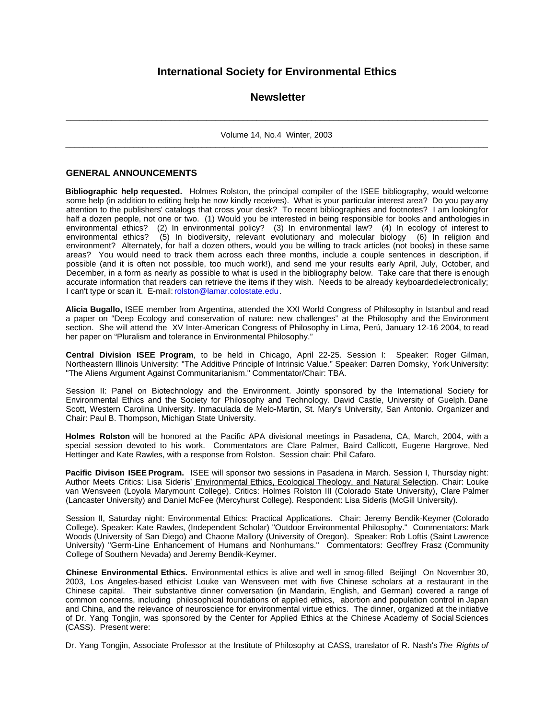# **International Society for Environmental Ethics**

# **Newsletter**

**\_\_\_\_\_\_\_\_\_\_\_\_\_\_\_\_\_\_\_\_\_\_\_\_\_\_\_\_\_\_\_\_\_\_\_\_\_\_\_\_\_\_\_\_\_\_\_\_\_\_\_\_\_\_\_\_\_\_\_\_\_\_\_\_\_\_\_\_\_\_\_\_\_\_\_\_\_\_\_\_\_\_\_\_\_\_\_\_\_\_\_\_\_** Volume 14, No.4 Winter, 2003 **\_\_\_\_\_\_\_\_\_\_\_\_\_\_\_\_\_\_\_\_\_\_\_\_\_\_\_\_\_\_\_\_\_\_\_\_\_\_\_\_\_\_\_\_\_\_\_\_\_\_\_\_\_\_\_\_\_\_\_\_\_\_\_\_\_\_\_\_\_\_\_\_\_\_\_\_\_\_\_\_\_\_\_\_\_\_\_\_\_\_\_\_\_**

# **GENERAL ANNOUNCEMENTS**

**Bibliographic help requested.** Holmes Rolston, the principal compiler of the ISEE bibliography, would welcome some help (in addition to editing help he now kindly receives). What is your particular interest area? Do you pay any attention to the publishers' catalogs that cross your desk? To recent bibliographies and footnotes? I am looking for half a dozen people, not one or two. (1) Would you be interested in being responsible for books and anthologies in environmental ethics? (2) In environmental policy? (3) In environmental law? (4) In ecology of interest to environmental ethics? (5) In biodiversity, relevant evolutionary and molecular biology (6) In religion and environment? Alternately, for half a dozen others, would you be willing to track articles (not books) in these same areas? You would need to track them across each three months, include a couple sentences in description, if possible (and it is often not possible, too much work!), and send me your results early April, July, October, and December, in a form as nearly as possible to what is used in the bibliography below. Take care that there is enough accurate information that readers can retrieve the items if they wish. Needs to be already keyboarded electronically; I can't type or scan it. E-mail: rolston@lamar.colostate.edu.

**Alicia Bugallo,** ISEE member from Argentina, attended the XXI World Congress of Philosophy in Istanbul and read a paper on "Deep Ecology and conservation of nature: new challenges" at the Philosophy and the Environment section. She will attend the XV Inter-American Congress of Philosophy in Lima, Perú, January 12-16 2004, to read her paper on "Pluralism and tolerance in Environmental Philosophy."

**Central Division ISEE Program**, to be held in Chicago, April 22-25. Session I: Speaker: Roger Gilman, Northeastern Illinois University: "The Additive Principle of Intrinsic Value." Speaker: Darren Domsky, York University: "The Aliens Argument Against Communitarianism." Commentator/Chair: TBA.

Session II: Panel on Biotechnology and the Environment. Jointly sponsored by the International Society for Environmental Ethics and the Society for Philosophy and Technology. David Castle, University of Guelph. Dane Scott, Western Carolina University. Inmaculada de Melo-Martin, St. Mary's University, San Antonio. Organizer and Chair: Paul B. Thompson, Michigan State University.

**Holmes Rolston** will be honored at the Pacific APA divisional meetings in Pasadena, CA, March, 2004, with a special session devoted to his work. Commentators are Clare Palmer, Baird Callicott, Eugene Hargrove, Ned Hettinger and Kate Rawles, with a response from Rolston. Session chair: Phil Cafaro.

**Pacific Divison ISEE Program.** ISEE will sponsor two sessions in Pasadena in March. Session I, Thursday night: Author Meets Critics: Lisa Sideris' Environmental Ethics, Ecological Theology, and Natural Selection. Chair: Louke van Wensveen (Loyola Marymount College). Critics: Holmes Rolston III (Colorado State University), Clare Palmer (Lancaster University) and Daniel McFee (Mercyhurst College). Respondent: Lisa Sideris (McGill University).

Session II, Saturday night: Environmental Ethics: Practical Applications. Chair: Jeremy Bendik-Keymer (Colorado College). Speaker: Kate Rawles, (Independent Scholar) "Outdoor Environmental Philosophy." Commentators: Mark Woods (University of San Diego) and Chaone Mallory (University of Oregon). Speaker: Rob Loftis (Saint Lawrence University) "Germ-Line Enhancement of Humans and Nonhumans." Commentators: Geoffrey Frasz (Community College of Southern Nevada) and Jeremy Bendik-Keymer.

**Chinese Environmental Ethics.** Environmental ethics is alive and well in smog-filled Beijing! On November 30, 2003, Los Angeles-based ethicist Louke van Wensveen met with five Chinese scholars at a restaurant in the Chinese capital. Their substantive dinner conversation (in Mandarin, English, and German) covered a range of common concerns, including philosophical foundations of applied ethics, abortion and population control in Japan and China, and the relevance of neuroscience for environmental virtue ethics. The dinner, organized at the initiative of Dr. Yang Tongjin, was sponsored by the Center for Applied Ethics at the Chinese Academy of Social Sciences (CASS). Present were:

Dr. Yang Tongjin, Associate Professor at the Institute of Philosophy at CASS, translator of R. Nash's *The Rights of*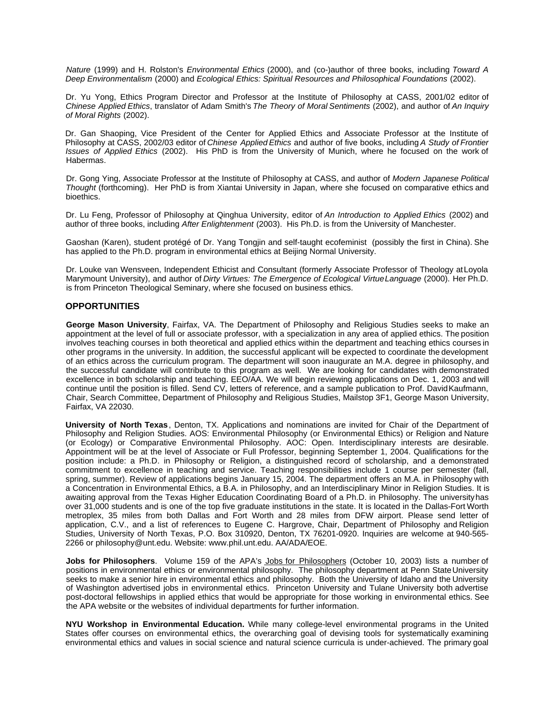*Nature* (1999) and H. Rolston's *Environmental Ethics* (2000), and (co-)author of three books, including *Toward A Deep Environmentalism* (2000) and *Ecological Ethics: Spiritual Resources and Philosophical Foundations* (2002).

Dr. Yu Yong, Ethics Program Director and Professor at the Institute of Philosophy at CASS, 2001/02 editor of *Chinese Applied Ethics*, translator of Adam Smith's *The Theory of Moral Sentiments* (2002), and author of *An Inquiry of Moral Rights* (2002).

Dr. Gan Shaoping, Vice President of the Center for Applied Ethics and Associate Professor at the Institute of Philosophy at CASS, 2002/03 editor of *Chinese Applied Ethics* and author of five books, including *A Study of Frontier Issues of Applied Ethics* (2002). His PhD is from the University of Munich, where he focused on the work of Habermas.

Dr. Gong Ying, Associate Professor at the Institute of Philosophy at CASS, and author of *Modern Japanese Political Thought* (forthcoming). Her PhD is from Xiantai University in Japan, where she focused on comparative ethics and bioethics.

Dr. Lu Feng, Professor of Philosophy at Qinghua University, editor of *An Introduction to Applied Ethics* (2002) and author of three books, including *After Enlightenment* (2003). His Ph.D. is from the University of Manchester.

Gaoshan (Karen), student protégé of Dr. Yang Tongjin and self-taught ecofeminist (possibly the first in China). She has applied to the Ph.D. program in environmental ethics at Beijing Normal University.

Dr. Louke van Wensveen, Independent Ethicist and Consultant (formerly Associate Professor of Theology at Loyola Marymount University), and author of *Dirty Virtues: The Emergence of Ecological Virtue Language* (2000). Her Ph.D. is from Princeton Theological Seminary, where she focused on business ethics.

# **OPPORTUNITIES**

**George Mason University**, Fairfax, VA. The Department of Philosophy and Religious Studies seeks to make an appointment at the level of full or associate professor, with a specialization in any area of applied ethics. The position involves teaching courses in both theoretical and applied ethics within the department and teaching ethics courses in other programs in the university. In addition, the successful applicant will be expected to coordinate the development of an ethics across the curriculum program. The department will soon inaugurate an M.A. degree in philosophy, and the successful candidate will contribute to this program as well. We are looking for candidates with demonstrated excellence in both scholarship and teaching. EEO/AA. We will begin reviewing applications on Dec. 1, 2003 and will continue until the position is filled. Send CV, letters of reference, and a sample publication to Prof. David Kaufmann, Chair, Search Committee, Department of Philosophy and Religious Studies, Mailstop 3F1, George Mason University, Fairfax, VA 22030.

**University of North Texas**, Denton, TX. Applications and nominations are invited for Chair of the Department of Philosophy and Religion Studies. AOS: Environmental Philosophy (or Environmental Ethics) or Religion and Nature (or Ecology) or Comparative Environmental Philosophy. AOC: Open. Interdisciplinary interests are desirable. Appointment will be at the level of Associate or Full Professor, beginning September 1, 2004. Qualifications for the position include: a Ph.D. in Philosophy or Religion, a distinguished record of scholarship, and a demonstrated commitment to excellence in teaching and service. Teaching responsibilities include 1 course per semester (fall, spring, summer). Review of applications begins January 15, 2004. The department offers an M.A. in Philosophy with a Concentration in Environmental Ethics, a B.A. in Philosophy, and an Interdisciplinary Minor in Religion Studies. It is awaiting approval from the Texas Higher Education Coordinating Board of a Ph.D. in Philosophy. The university has over 31,000 students and is one of the top five graduate institutions in the state. It is located in the Dallas-Fort Worth metroplex, 35 miles from both Dallas and Fort Worth and 28 miles from DFW airport. Please send letter of application, C.V., and a list of references to Eugene C. Hargrove, Chair, Department of Philosophy and Religion Studies, University of North Texas, P.O. Box 310920, Denton, TX 76201-0920. Inquiries are welcome at 940-565- 2266 or philosophy@unt.edu. Website: www.phil.unt.edu. AA/ADA/EOE.

**Jobs for Philosophers**. Volume 159 of the APA's Jobs for Philosophers (October 10, 2003) lists a number of positions in environmental ethics or environmental philosophy. The philosophy department at Penn State University seeks to make a senior hire in environmental ethics and philosophy. Both the University of Idaho and the University of Washington advertised jobs in environmental ethics. Princeton University and Tulane University both advertise post-doctoral fellowships in applied ethics that would be appropriate for those working in environmental ethics. See the APA website or the websites of individual departments for further information.

**NYU Workshop in Environmental Education.** While many college-level environmental programs in the United States offer courses on environmental ethics, the overarching goal of devising tools for systematically examining environmental ethics and values in social science and natural science curricula is under-achieved. The primary goal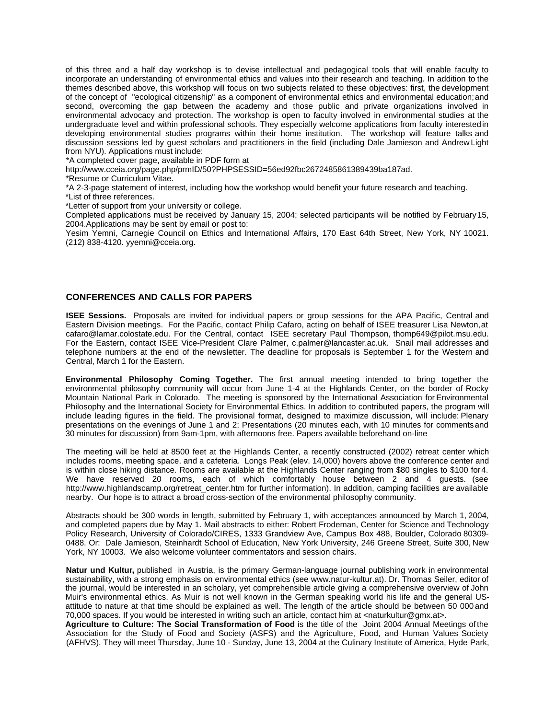of this three and a half day workshop is to devise intellectual and pedagogical tools that will enable faculty to incorporate an understanding of environmental ethics and values into their research and teaching. In addition to the themes described above, this workshop will focus on two subjects related to these objectives: first, the development of the concept of "ecological citizenship" as a component of environmental ethics and environmental education; and second, overcoming the gap between the academy and those public and private organizations involved in environmental advocacy and protection. The workshop is open to faculty involved in environmental studies at the undergraduate level and within professional schools. They especially welcome applications from faculty interested in developing environmental studies programs within their home institution. The workshop will feature talks and discussion sessions led by guest scholars and practitioners in the field (including Dale Jamieson and Andrew Light from NYU). Applications must include:

\*A completed cover page, available in PDF form at

http://www.cceia.org/page.php/prmID/50?PHPSESSID=56ed92fbc2672485861389439ba187ad.

\*Resume or Curriculum Vitae.

\*A 2-3-page statement of interest, including how the workshop would benefit your future research and teaching. \*List of three references.

\*Letter of support from your university or college.

Completed applications must be received by January 15, 2004; selected participants will be notified by February 15, 2004.Applications may be sent by email or post to:

Yesim Yemni, Carnegie Council on Ethics and International Affairs, 170 East 64th Street, New York, NY 10021. (212) 838-4120. yyemni@cceia.org.

#### **CONFERENCES AND CALLS FOR PAPERS**

**ISEE Sessions.** Proposals are invited for individual papers or group sessions for the APA Pacific, Central and Eastern Division meetings. For the Pacific, contact Philip Cafaro, acting on behalf of ISEE treasurer Lisa Newton, at cafaro@lamar.colostate.edu. For the Central, contact ISEE secretary Paul Thompson, thomp649@pilot.msu.edu. For the Eastern, contact ISEE Vice-President Clare Palmer, c.palmer@lancaster.ac.uk. Snail mail addresses and telephone numbers at the end of the newsletter. The deadline for proposals is September 1 for the Western and Central, March 1 for the Eastern.

**Environmental Philosophy Coming Together.** The first annual meeting intended to bring together the environmental philosophy community will occur from June 1-4 at the Highlands Center, on the border of Rocky Mountain National Park in Colorado. The meeting is sponsored by the International Association for Environmental Philosophy and the International Society for Environmental Ethics. In addition to contributed papers, the program will include leading figures in the field. The provisional format, designed to maximize discussion, will include: Plenary presentations on the evenings of June 1 and 2; Presentations (20 minutes each, with 10 minutes for comments and 30 minutes for discussion) from 9am-1pm, with afternoons free. Papers available beforehand on-line

The meeting will be held at 8500 feet at the Highlands Center, a recently constructed (2002) retreat center which includes rooms, meeting space, and a cafeteria. Longs Peak (elev. 14,000) hovers above the conference center and is within close hiking distance. Rooms are available at the Highlands Center ranging from \$80 singles to \$100 for 4. We have reserved 20 rooms, each of which comfortably house between 2 and 4 guests. (see http://www.highlandscamp.org/retreat\_center.htm for further information). In addition, camping facilities are available nearby. Our hope is to attract a broad cross-section of the environmental philosophy community.

Abstracts should be 300 words in length, submitted by February 1, with acceptances announced by March 1, 2004, and completed papers due by May 1. Mail abstracts to either: Robert Frodeman, Center for Science and Technology Policy Research, University of Colorado/CIRES, 1333 Grandview Ave, Campus Box 488, Boulder, Colorado 80309- 0488. Or: Dale Jamieson, Steinhardt School of Education, New York University, 246 Greene Street, Suite 300, New York, NY 10003. We also welcome volunteer commentators and session chairs.

**Natur und Kultur,** published in Austria, is the primary German-language journal publishing work in environmental sustainability, with a strong emphasis on environmental ethics (see www.natur-kultur.at). Dr. Thomas Seiler, editor of the journal, would be interested in an scholary, yet comprehensible article giving a comprehensive overview of John Muir's environmental ethics. As Muir is not well known in the German speaking world his life and the general USattitude to nature at that time should be explained as well. The length of the article should be between 50 000 and 70,000 spaces. If you would be interested in writing such an article, contact him at <naturkultur@gmx.at>.

**Agriculture to Culture: The Social Transformation of Food** is the title of the Joint 2004 Annual Meetings of the Association for the Study of Food and Society (ASFS) and the Agriculture, Food, and Human Values Society (AFHVS). They will meet Thursday, June 10 - Sunday, June 13, 2004 at the Culinary Institute of America, Hyde Park,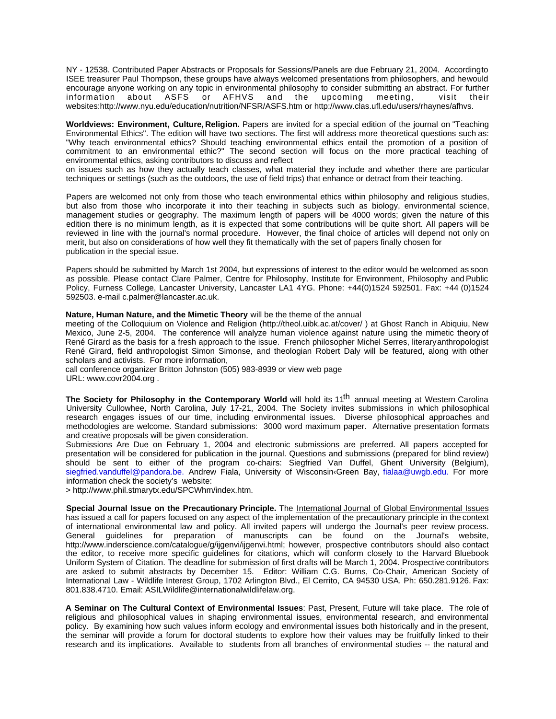NY - 12538. Contributed Paper Abstracts or Proposals for Sessions/Panels are due February 21, 2004. Accordingto ISEE treasurer Paul Thompson, these groups have always welcomed presentations from philosophers, and he would encourage anyone working on any topic in environmental philosophy to consider submitting an abstract. For further<br>information about ASFS or AFHVS and the upcoming meeting, visit their information about ASFS or AFHVS and the upcoming meeting, visit their websites:http://www.nyu.edu/education/nutrition/NFSR/ASFS.htm or http://www.clas.ufl.edu/users/rhaynes/afhvs.

**Worldviews: Environment, Culture, Religion.** Papers are invited for a special edition of the journal on "Teaching Environmental Ethics". The edition will have two sections. The first will address more theoretical questions such as: "Why teach environmental ethics? Should teaching environmental ethics entail the promotion of a position of commitment to an environmental ethic?" The second section will focus on the more practical teaching of environmental ethics, asking contributors to discuss and reflect

on issues such as how they actually teach classes, what material they include and whether there are particular techniques or settings (such as the outdoors, the use of field trips) that enhance or detract from their teaching.

Papers are welcomed not only from those who teach environmental ethics within philosophy and religious studies, but also from those who incorporate it into their teaching in subjects such as biology, environmental science, management studies or geography. The maximum length of papers will be 4000 words; given the nature of this edition there is no minimum length, as it is expected that some contributions will be quite short. All papers will be reviewed in line with the journal's normal procedure. However, the final choice of articles will depend not only on merit, but also on considerations of how well they fit thematically with the set of papers finally chosen for publication in the special issue.

Papers should be submitted by March 1st 2004, but expressions of interest to the editor would be welcomed as soon as possible. Please contact Clare Palmer, Centre for Philosophy, Institute for Environment, Philosophy and Public Policy, Furness College, Lancaster University, Lancaster LA1 4YG. Phone: +44(0)1524 592501. Fax: +44 (0)1524 592503. e-mail c.palmer@lancaster.ac.uk.

**Nature, Human Nature, and the Mimetic Theory** will be the theme of the annual

meeting of the Colloquium on Violence and Religion (http://theol.uibk.ac.at/cover/ ) at Ghost Ranch in Abiquiu, New Mexico, June 2-5, 2004. The conference will analyze human violence against nature using the mimetic theory of René Girard as the basis for a fresh approach to the issue. French philosopher Michel Serres, literary anthropologist René Girard, field anthropologist Simon Simonse, and theologian Robert Daly will be featured, along with other scholars and activists. For more information,

call conference organizer Britton Johnston (505) 983-8939 or view web page

URL: www.covr2004.org .

The Society for Philosophy in the Contemporary World will hold its 11<sup>th</sup> annual meeting at Western Carolina University Cullowhee, North Carolina, July 17-21, 2004. The Society invites submissions in which philosophical research engages issues of our time, including environmental issues. Diverse philosophical approaches and methodologies are welcome. Standard submissions: 3000 word maximum paper. Alternative presentation formats and creative proposals will be given consideration.

Submissions Are Due on February 1, 2004 and electronic submissions are preferred. All papers accepted for presentation will be considered for publication in the journal. Questions and submissions (prepared for blind review) should be sent to either of the program co-chairs: Siegfried Van Duffel, Ghent University (Belgium), siegfried.vanduffel@pandora.be. Andrew Fiala, University of Wisconsin‹Green Bay, fialaa@uwgb.edu. For more information check the society's website:

> http://www.phil.stmarytx.edu/SPCWhm/index.htm.

**Special Journal Issue on the Precautionary Principle.** The International Journal of Global Environmental Issues has issued a call for papers focused on any aspect of the implementation of the precautionary principle in the context of international environmental law and policy. All invited papers will undergo the Journal's peer review process. General guidelines for preparation of manuscripts can be found on the Journal's website, http://www.inderscience.com/catalogue/g/ijgenvi/ijgenvi.html; however, prospective contributors should also contact the editor, to receive more specific guidelines for citations, which will conform closely to the Harvard Bluebook Uniform System of Citation. The deadline for submission of first drafts will be March 1, 2004. Prospective contributors are asked to submit abstracts by December 15. Editor: William C.G. Burns, Co-Chair, American Society of International Law - Wildlife Interest Group, 1702 Arlington Blvd., El Cerrito, CA 94530 USA. Ph: 650.281.9126. Fax: 801.838.4710. Email: ASILWildlife@internationalwildlifelaw.org.

**A Seminar on The Cultural Context of Environmental Issues**: Past, Present, Future will take place. The role of religious and philosophical values in shaping environmental issues, environmental research, and environmental policy. By examining how such values inform ecology and environmental issues both historically and in the present, the seminar will provide a forum for doctoral students to explore how their values may be fruitfully linked to their research and its implications. Available to students from all branches of environmental studies -- the natural and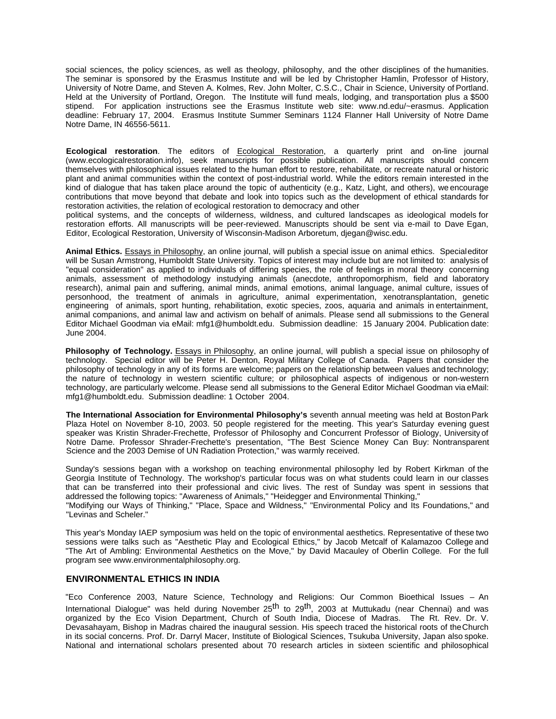social sciences, the policy sciences, as well as theology, philosophy, and the other disciplines of the humanities. The seminar is sponsored by the Erasmus Institute and will be led by Christopher Hamlin, Professor of History, University of Notre Dame, and Steven A. Kolmes, Rev. John Molter, C.S.C., Chair in Science, University of Portland. Held at the University of Portland, Oregon. The Institute will fund meals, lodging, and transportation plus a \$500 stipend. For application instructions see the Erasmus Institute web site: www.nd.edu/~erasmus. Application deadline: February 17, 2004. Erasmus Institute Summer Seminars 1124 Flanner Hall University of Notre Dame Notre Dame, IN 46556-5611.

**Ecological restoration**. The editors of Ecological Restoration, a quarterly print and on-line journal (www.ecologicalrestoration.info), seek manuscripts for possible publication. All manuscripts should concern themselves with philosophical issues related to the human effort to restore, rehabilitate, or recreate natural or historic plant and animal communities within the context of post-industrial world. While the editors remain interested in the kind of dialogue that has taken place around the topic of authenticity (e.g., Katz, Light, and others), we encourage contributions that move beyond that debate and look into topics such as the development of ethical standards for restoration activities, the relation of ecological restoration to democracy and other

political systems, and the concepts of wilderness, wildness, and cultured landscapes as ideological models for restoration efforts. All manuscripts will be peer-reviewed. Manuscripts should be sent via e-mail to Dave Egan, Editor, Ecological Restoration, University of Wisconsin-Madison Arboretum, djegan@wisc.edu.

**Animal Ethics.** Essays in Philosophy, an online journal, will publish a special issue on animal ethics. Special editor will be Susan Armstrong, Humboldt State University. Topics of interest may include but are not limited to: analysis of "equal consideration" as applied to individuals of differing species, the role of feelings in moral theory concerning animals, assessment of methodology instudying animals (anecdote, anthropomorphism, field and laboratory research), animal pain and suffering, animal minds, animal emotions, animal language, animal culture, issues of personhood, the treatment of animals in agriculture, animal experimentation, xenotransplantation, genetic engineering of animals, sport hunting, rehabilitation, exotic species, zoos, aquaria and animals in entertainment, animal companions, and animal law and activism on behalf of animals. Please send all submissions to the General Editor Michael Goodman via eMail: mfg1@humboldt.edu. Submission deadline: 15 January 2004. Publication date: June 2004.

**Philosophy of Technology.** Essays in Philosophy, an online journal, will publish a special issue on philosophy of technology. Special editor will be Peter H. Denton, Royal Military College of Canada. Papers that consider the philosophy of technology in any of its forms are welcome; papers on the relationship between values and technology; the nature of technology in western scientific culture; or philosophical aspects of indigenous or non-western technology, are particularly welcome. Please send all submissions to the General Editor Michael Goodman via eMail: mfg1@humboldt.edu. Submission deadline: 1 October 2004.

**The International Association for Environmental Philosophy's** seventh annual meeting was held at Boston Park Plaza Hotel on November 8-10, 2003. 50 people registered for the meeting. This year's Saturday evening guest speaker was Kristin Shrader-Frechette, Professor of Philosophy and Concurrent Professor of Biology, University of Notre Dame. Professor Shrader-Frechette's presentation, "The Best Science Money Can Buy: Nontransparent Science and the 2003 Demise of UN Radiation Protection," was warmly received.

Sunday's sessions began with a workshop on teaching environmental philosophy led by Robert Kirkman of the Georgia Institute of Technology. The workshop's particular focus was on what students could learn in our classes that can be transferred into their professional and civic lives. The rest of Sunday was spent in sessions that addressed the following topics: "Awareness of Animals," "Heidegger and Environmental Thinking,"

"Modifying our Ways of Thinking," "Place, Space and Wildness," "Environmental Policy and Its Foundations," and "Levinas and Scheler."

This year's Monday IAEP symposium was held on the topic of environmental aesthetics. Representative of these two sessions were talks such as "Aesthetic Play and Ecological Ethics," by Jacob Metcalf of Kalamazoo College and "The Art of Ambling: Environmental Aesthetics on the Move," by David Macauley of Oberlin College. For the full program see www.environmentalphilosophy.org.

# **ENVIRONMENTAL ETHICS IN INDIA**

"Eco Conference 2003, Nature Science, Technology and Religions: Our Common Bioethical Issues – An International Dialogue" was held during November 25<sup>th</sup> to 29<sup>th</sup>, 2003 at Muttukadu (near Chennai) and was organized by the Eco Vision Department, Church of South India, Diocese of Madras. The Rt. Rev. Dr. V. Devasahayam, Bishop in Madras chaired the inaugural session. His speech traced the historical roots of the Church in its social concerns. Prof. Dr. Darryl Macer, Institute of Biological Sciences, Tsukuba University, Japan also spoke. National and international scholars presented about 70 research articles in sixteen scientific and philosophical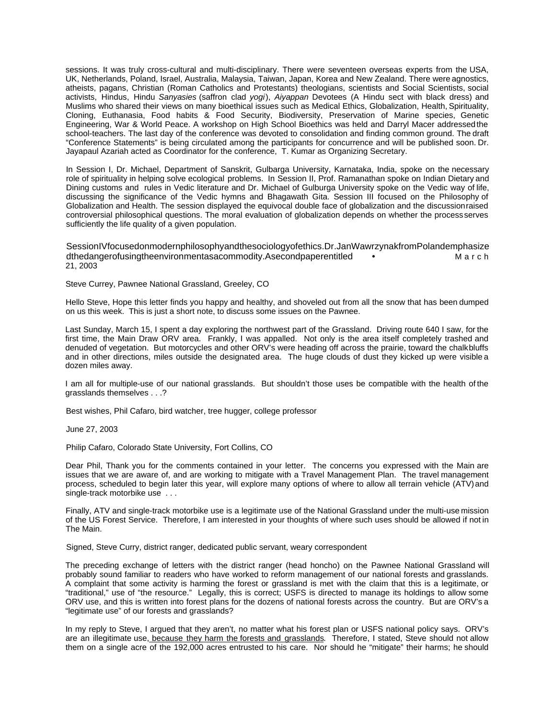sessions. It was truly cross-cultural and multi-disciplinary. There were seventeen overseas experts from the USA, UK, Netherlands, Poland, Israel, Australia, Malaysia, Taiwan, Japan, Korea and New Zealand. There were agnostics, atheists, pagans, Christian (Roman Catholics and Protestants) theologians, scientists and Social Scientists, social activists, Hindus, Hindu *Sanyasies* (saffron clad *yogi*), *Aiyappan* Devotees (A Hindu sect with black dress) and Muslims who shared their views on many bioethical issues such as Medical Ethics, Globalization, Health, Spirituality, Cloning, Euthanasia, Food habits & Food Security, Biodiversity, Preservation of Marine species, Genetic Engineering, War & World Peace. A workshop on High School Bioethics was held and Darryl Macer addressed the school-teachers. The last day of the conference was devoted to consolidation and finding common ground. The draft "Conference Statements" is being circulated among the participants for concurrence and will be published soon. Dr. Jayapaul Azariah acted as Coordinator for the conference, T. Kumar as Organizing Secretary.

In Session I, Dr. Michael, Department of Sanskrit, Gulbarga University, Karnataka, India, spoke on the necessary role of spirituality in helping solve ecological problems. In Session II, Prof. Ramanathan spoke on Indian Dietary and Dining customs and rules in Vedic literature and Dr. Michael of Gulburga University spoke on the Vedic way of life, discussing the significance of the Vedic hymns and Bhagawath Gita. Session III focused on the Philosophy of Globalization and Health. The session displayed the equivocal double face of globalization and the discussion raised controversial philosophical questions. The moral evaluation of globalization depends on whether the process serves sufficiently the life quality of a given population.

SessionIV focused on modern philosophy and the sociology of ethics. Dr. Jan Wawrzy nak from Polandem phasize dthedangerofusingtheenvironmentasacommodity.Asecondpaperentitled • M a r c h 21, 2003

Steve Currey, Pawnee National Grassland, Greeley, CO

Hello Steve, Hope this letter finds you happy and healthy, and shoveled out from all the snow that has been dumped on us this week. This is just a short note, to discuss some issues on the Pawnee.

Last Sunday, March 15, I spent a day exploring the northwest part of the Grassland. Driving route 640 I saw, for the first time, the Main Draw ORV area. Frankly, I was appalled. Not only is the area itself completely trashed and denuded of vegetation. But motorcycles and other ORV's were heading off across the prairie, toward the chalk bluffs and in other directions, miles outside the designated area. The huge clouds of dust they kicked up were visible a dozen miles away.

I am all for multiple-use of our national grasslands. But shouldn't those uses be compatible with the health of the grasslands themselves . . .?

Best wishes, Phil Cafaro, bird watcher, tree hugger, college professor

June 27, 2003

Philip Cafaro, Colorado State University, Fort Collins, CO

Dear Phil, Thank you for the comments contained in your letter. The concerns you expressed with the Main are issues that we are aware of, and are working to mitigate with a Travel Management Plan. The travel management process, scheduled to begin later this year, will explore many options of where to allow all terrain vehicle (ATV) and single-track motorbike use . . .

Finally, ATV and single-track motorbike use is a legitimate use of the National Grassland under the multi-use mission of the US Forest Service. Therefore, I am interested in your thoughts of where such uses should be allowed if not in The Main.

Signed, Steve Curry, district ranger, dedicated public servant, weary correspondent

The preceding exchange of letters with the district ranger (head honcho) on the Pawnee National Grassland will probably sound familiar to readers who have worked to reform management of our national forests and grasslands. A complaint that some activity is harming the forest or grassland is met with the claim that this is a legitimate, or "traditional," use of "the resource." Legally, this is correct; USFS is directed to manage its holdings to allow some ORV use, and this is written into forest plans for the dozens of national forests across the country. But are ORV's a "legitimate use" of our forests and grasslands?

In my reply to Steve, I argued that they aren't, no matter what his forest plan or USFS national policy says. ORV's are an illegitimate use, because they harm the forests and grasslands. Therefore, I stated, Steve should not allow them on a single acre of the 192,000 acres entrusted to his care. Nor should he "mitigate" their harms; he should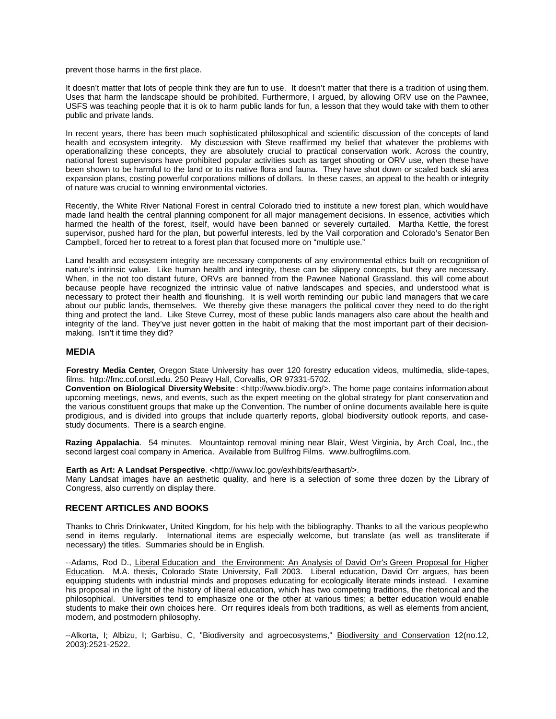prevent those harms in the first place.

It doesn't matter that lots of people think they are fun to use. It doesn't matter that there is a tradition of using them. Uses that harm the landscape should be prohibited. Furthermore, I argued, by allowing ORV use on the Pawnee, USFS was teaching people that it is ok to harm public lands for fun, a lesson that they would take with them to other public and private lands.

In recent years, there has been much sophisticated philosophical and scientific discussion of the concepts of land health and ecosystem integrity. My discussion with Steve reaffirmed my belief that whatever the problems with operationalizing these concepts, they are absolutely crucial to practical conservation work. Across the country, national forest supervisors have prohibited popular activities such as target shooting or ORV use, when these have been shown to be harmful to the land or to its native flora and fauna. They have shot down or scaled back ski area expansion plans, costing powerful corporations millions of dollars. In these cases, an appeal to the health or integrity of nature was crucial to winning environmental victories.

Recently, the White River National Forest in central Colorado tried to institute a new forest plan, which would have made land health the central planning component for all major management decisions. In essence, activities which harmed the health of the forest, itself, would have been banned or severely curtailed. Martha Kettle, the forest supervisor, pushed hard for the plan, but powerful interests, led by the Vail corporation and Colorado's Senator Ben Campbell, forced her to retreat to a forest plan that focused more on "multiple use."

Land health and ecosystem integrity are necessary components of any environmental ethics built on recognition of nature's intrinsic value. Like human health and integrity, these can be slippery concepts, but they are necessary. When, in the not too distant future, ORVs are banned from the Pawnee National Grassland, this will come about because people have recognized the intrinsic value of native landscapes and species, and understood what is necessary to protect their health and flourishing. It is well worth reminding our public land managers that we care about our public lands, themselves. We thereby give these managers the political cover they need to do the right thing and protect the land. Like Steve Currey, most of these public lands managers also care about the health and integrity of the land. They've just never gotten in the habit of making that the most important part of their decisionmaking. Isn't it time they did?

# **MEDIA**

**Forestry Media Center**, Oregon State University has over 120 forestry education videos, multimedia, slide-tapes, films. http://fmc.cof.orstl.edu. 250 Peavy Hall, Corvallis, OR 97331-5702.

**Convention on Biological Diversity Website**: <http://www.biodiv.org/>. The home page contains information about upcoming meetings, news, and events, such as the expert meeting on the global strategy for plant conservation and the various constituent groups that make up the Convention. The number of online documents available here is quite prodigious, and is divided into groups that include quarterly reports, global biodiversity outlook reports, and casestudy documents. There is a search engine.

**Razing Appalachia**. 54 minutes. Mountaintop removal mining near Blair, West Virginia, by Arch Coal, Inc., the second largest coal company in America. Available from Bullfrog Films. www.bulfrogfilms.com.

**Earth as Art: A Landsat Perspective.** <http://www.loc.gov/exhibits/earthasart/>.

Many Landsat images have an aesthetic quality, and here is a selection of some three dozen by the Library of Congress, also currently on display there.

# **RECENT ARTICLES AND BOOKS**

Thanks to Chris Drinkwater, United Kingdom, for his help with the bibliography. Thanks to all the various people who send in items regularly. International items are especially welcome, but translate (as well as transliterate if necessary) the titles. Summaries should be in English.

--Adams, Rod D., Liberal Education and the Environment: An Analysis of David Orr's Green Proposal for Higher Education. M.A. thesis, Colorado State University, Fall 2003. Liberal education, David Orr argues, has been equipping students with industrial minds and proposes educating for ecologically literate minds instead. I examine his proposal in the light of the history of liberal education, which has two competing traditions, the rhetorical and the philosophical. Universities tend to emphasize one or the other at various times; a better education would enable students to make their own choices here. Orr requires ideals from both traditions, as well as elements from ancient, modern, and postmodern philosophy.

--Alkorta, I; Albizu, I; Garbisu, C, "Biodiversity and agroecosystems," Biodiversity and Conservation 12(no.12, 2003):2521-2522.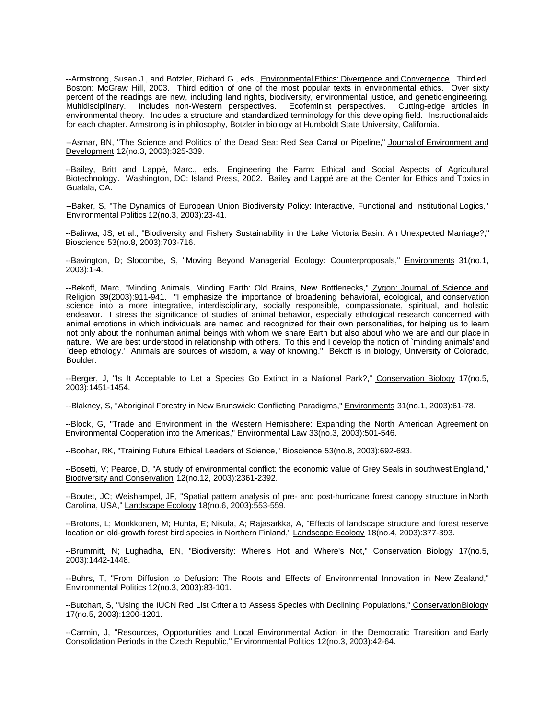--Armstrong, Susan J., and Botzler, Richard G., eds., Environmental Ethics: Divergence and Convergence. Third ed. Boston: McGraw Hill, 2003. Third edition of one of the most popular texts in environmental ethics. Over sixty percent of the readings are new, including land rights, biodiversity, environmental justice, and genetic engineering. Multidisciplinary. Includes non-Western perspectives. Ecofeminist perspectives. Cutting-edge articles in environmental theory. Includes a structure and standardized terminology for this developing field. Instructional aids for each chapter. Armstrong is in philosophy, Botzler in biology at Humboldt State University, California.

--Asmar, BN, "The Science and Politics of the Dead Sea: Red Sea Canal or Pipeline," Journal of Environment and Development 12(no.3, 2003):325-339.

--Bailey, Britt and Lappé, Marc., eds., Engineering the Farm: Ethical and Social Aspects of Agricultural Biotechnology. Washington, DC: Island Press, 2002. Bailey and Lappé are at the Center for Ethics and Toxics in Gualala, CA.

--Baker, S, "The Dynamics of European Union Biodiversity Policy: Interactive, Functional and Institutional Logics," Environmental Politics 12(no.3, 2003):23-41.

--Balirwa, JS; et al., "Biodiversity and Fishery Sustainability in the Lake Victoria Basin: An Unexpected Marriage?," Bioscience 53(no.8, 2003):703-716.

--Bavington, D; Slocombe, S, "Moving Beyond Managerial Ecology: Counterproposals," Environments 31(no.1, 2003):1-4.

--Bekoff, Marc, "Minding Animals, Minding Earth: Old Brains, New Bottlenecks," Zygon: Journal of Science and Religion 39(2003):911-941. "I emphasize the importance of broadening behavioral, ecological, and conservation science into a more integrative, interdisciplinary, socially responsible, compassionate, spiritual, and holistic endeavor. I stress the significance of studies of animal behavior, especially ethological research concerned with animal emotions in which individuals are named and recognized for their own personalities, for helping us to learn not only about the nonhuman animal beings with whom we share Earth but also about who we are and our place in nature. We are best understood in relationship with others. To this end I develop the notion of `minding animals' and `deep ethology.' Animals are sources of wisdom, a way of knowing." Bekoff is in biology, University of Colorado, Boulder.

--Berger, J, "Is It Acceptable to Let a Species Go Extinct in a National Park?," Conservation Biology 17(no.5, 2003):1451-1454.

--Blakney, S, "Aboriginal Forestry in New Brunswick: Conflicting Paradigms," Environments 31(no.1, 2003):61-78.

--Block, G, "Trade and Environment in the Western Hemisphere: Expanding the North American Agreement on Environmental Cooperation into the Americas," Environmental Law 33(no.3, 2003):501-546.

--Boohar, RK, "Training Future Ethical Leaders of Science," Bioscience 53(no.8, 2003):692-693.

--Bosetti, V; Pearce, D, "A study of environmental conflict: the economic value of Grey Seals in southwest England," Biodiversity and Conservation 12(no.12, 2003):2361-2392.

--Boutet, JC; Weishampel, JF, "Spatial pattern analysis of pre- and post-hurricane forest canopy structure in North Carolina, USA," Landscape Ecology 18(no.6, 2003):553-559.

--Brotons, L; Monkkonen, M; Huhta, E; Nikula, A; Rajasarkka, A, "Effects of landscape structure and forest reserve location on old-growth forest bird species in Northern Finland," Landscape Ecology 18(no.4, 2003):377-393.

--Brummitt, N; Lughadha, EN, "Biodiversity: Where's Hot and Where's Not," Conservation Biology 17(no.5, 2003):1442-1448.

--Buhrs, T, "From Diffusion to Defusion: The Roots and Effects of Environmental Innovation in New Zealand," Environmental Politics 12(no.3, 2003):83-101.

--Butchart, S, "Using the IUCN Red List Criteria to Assess Species with Declining Populations," Conservation Biology 17(no.5, 2003):1200-1201.

--Carmin, J, "Resources, Opportunities and Local Environmental Action in the Democratic Transition and Early Consolidation Periods in the Czech Republic," Environmental Politics 12(no.3, 2003):42-64.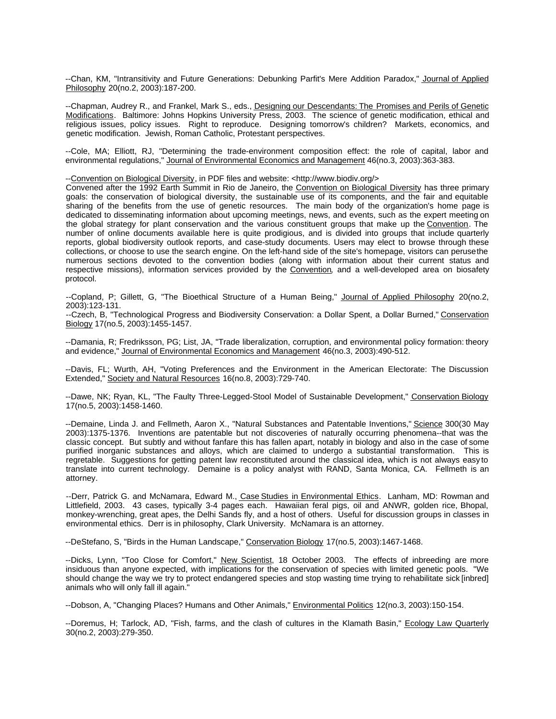--Chan, KM, "Intransitivity and Future Generations: Debunking Parfit's Mere Addition Paradox," Journal of Applied Philosophy 20(no.2, 2003):187-200.

--Chapman, Audrey R., and Frankel, Mark S., eds., Designing our Descendants: The Promises and Perils of Genetic Modifications. Baltimore: Johns Hopkins University Press, 2003. The science of genetic modification, ethical and religious issues, policy issues. Right to reproduce. Designing tomorrow's children? Markets, economics, and genetic modification. Jewish, Roman Catholic, Protestant perspectives.

--Cole, MA; Elliott, RJ, "Determining the trade-environment composition effect: the role of capital, labor and environmental regulations," Journal of Environmental Economics and Management 46(no.3, 2003):363-383.

--Convention on Biological Diversity, in PDF files and website: <http://www.biodiv.org/>

Convened after the 1992 Earth Summit in Rio de Janeiro, the Convention on Biological Diversity has three primary goals: the conservation of biological diversity, the sustainable use of its components, and the fair and equitable sharing of the benefits from the use of genetic resources. The main body of the organization's home page is dedicated to disseminating information about upcoming meetings, news, and events, such as the expert meeting on the global strategy for plant conservation and the various constituent groups that make up the Convention. The number of online documents available here is quite prodigious, and is divided into groups that include quarterly reports, global biodiversity outlook reports, and case-study documents. Users may elect to browse through these collections, or choose to use the search engine. On the left-hand side of the site's homepage, visitors can peruse the numerous sections devoted to the convention bodies (along with information about their current status and respective missions), information services provided by the Convention, and a well-developed area on biosafety protocol.

--Copland, P; Gillett, G, "The Bioethical Structure of a Human Being," Journal of Applied Philosophy 20(no.2, 2003):123-131.

--Czech, B, "Technological Progress and Biodiversity Conservation: a Dollar Spent, a Dollar Burned," Conservation Biology 17(no.5, 2003):1455-1457.

--Damania, R; Fredriksson, PG; List, JA, "Trade liberalization, corruption, and environmental policy formation: theory and evidence," Journal of Environmental Economics and Management 46(no.3, 2003):490-512.

--Davis, FL; Wurth, AH, "Voting Preferences and the Environment in the American Electorate: The Discussion Extended," Society and Natural Resources 16(no.8, 2003):729-740.

--Dawe, NK; Ryan, KL, "The Faulty Three-Legged-Stool Model of Sustainable Development," Conservation Biology 17(no.5, 2003):1458-1460.

--Demaine, Linda J. and Fellmeth, Aaron X., "Natural Substances and Patentable Inventions," Science 300(30 May 2003):1375-1376. Inventions are patentable but not discoveries of naturally occurring phenomena--that was the classic concept. But subtly and without fanfare this has fallen apart, notably in biology and also in the case of some purified inorganic substances and alloys, which are claimed to undergo a substantial transformation. This is regretable. Suggestions for getting patent law reconstituted around the classical idea, which is not always easy to translate into current technology. Demaine is a policy analyst with RAND, Santa Monica, CA. Fellmeth is an attorney.

--Derr, Patrick G. and McNamara, Edward M., Case Studies in Environmental Ethics. Lanham, MD: Rowman and Littlefield, 2003. 43 cases, typically 3-4 pages each. Hawaiian feral pigs, oil and ANWR, golden rice, Bhopal, monkey-wrenching, great apes, the Delhi Sands fly, and a host of others. Useful for discussion groups in classes in environmental ethics. Derr is in philosophy, Clark University. McNamara is an attorney.

--DeStefano, S, "Birds in the Human Landscape," Conservation Biology 17(no.5, 2003):1467-1468.

--Dicks, Lynn, "Too Close for Comfort," New Scientist, 18 October 2003. The effects of inbreeding are more insiduous than anyone expected, with implications for the conservation of species with limited genetic pools. "We should change the way we try to protect endangered species and stop wasting time trying to rehabilitate sick [inbred] animals who will only fall ill again."

--Dobson, A, "Changing Places? Humans and Other Animals," Environmental Politics 12(no.3, 2003):150-154.

--Doremus, H; Tarlock, AD, "Fish, farms, and the clash of cultures in the Klamath Basin," Ecology Law Quarterly 30(no.2, 2003):279-350.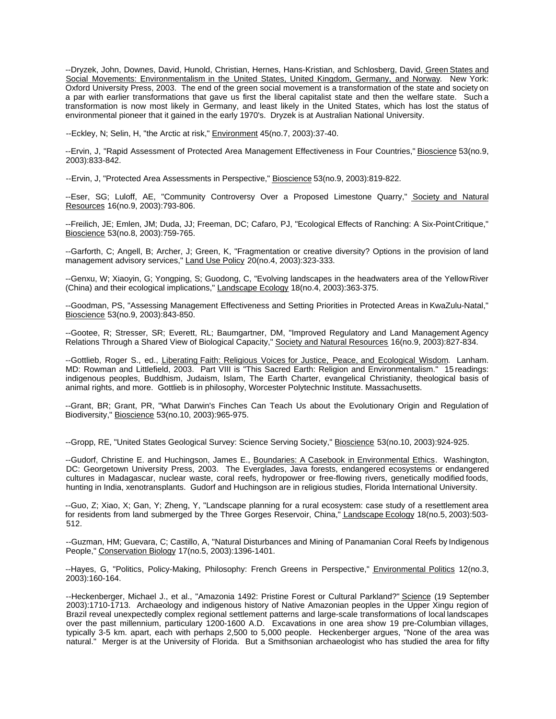--Dryzek, John, Downes, David, Hunold, Christian, Hernes, Hans-Kristian, and Schlosberg, David, Green States and Social Movements: Environmentalism in the United States, United Kingdom, Germany, and Norway. New York: Oxford University Press, 2003. The end of the green social movement is a transformation of the state and society on a par with earlier transformations that gave us first the liberal capitalist state and then the welfare state. Such a transformation is now most likely in Germany, and least likely in the United States, which has lost the status of environmental pioneer that it gained in the early 1970's. Dryzek is at Australian National University.

--Eckley, N; Selin, H, "the Arctic at risk," Environment 45(no.7, 2003):37-40.

--Ervin, J, "Rapid Assessment of Protected Area Management Effectiveness in Four Countries," Bioscience 53(no.9, 2003):833-842.

--Ervin, J, "Protected Area Assessments in Perspective," Bioscience 53(no.9, 2003):819-822.

--Eser, SG; Luloff, AE, "Community Controversy Over a Proposed Limestone Quarry," Society and Natural Resources 16(no.9, 2003):793-806.

--Freilich, JE; Emlen, JM; Duda, JJ; Freeman, DC; Cafaro, PJ, "Ecological Effects of Ranching: A Six-Point Critique," Bioscience 53(no.8, 2003):759-765.

--Garforth, C; Angell, B; Archer, J; Green, K, "Fragmentation or creative diversity? Options in the provision of land management advisory services," Land Use Policy 20(no.4, 2003):323-333.

--Genxu, W; Xiaoyin, G; Yongping, S; Guodong, C, "Evolving landscapes in the headwaters area of the Yellow River (China) and their ecological implications," Landscape Ecology 18(no.4, 2003):363-375.

--Goodman, PS, "Assessing Management Effectiveness and Setting Priorities in Protected Areas in KwaZulu-Natal," Bioscience 53(no.9, 2003):843-850.

--Gootee, R; Stresser, SR; Everett, RL; Baumgartner, DM, "Improved Regulatory and Land Management Agency Relations Through a Shared View of Biological Capacity," Society and Natural Resources 16(no.9, 2003):827-834.

--Gottlieb, Roger S., ed., Liberating Faith: Religious Voices for Justice, Peace, and Ecological Wisdom. Lanham. MD: Rowman and Littlefield, 2003. Part VIII is "This Sacred Earth: Religion and Environmentalism." 15 readings: indigenous peoples, Buddhism, Judaism, Islam, The Earth Charter, evangelical Christianity, theological basis of animal rights, and more. Gottlieb is in philosophy, Worcester Polytechnic Institute. Massachusetts.

--Grant, BR; Grant, PR, "What Darwin's Finches Can Teach Us about the Evolutionary Origin and Regulation of Biodiversity," Bioscience 53(no.10, 2003):965-975.

--Gropp, RE, "United States Geological Survey: Science Serving Society," Bioscience 53(no.10, 2003):924-925.

--Gudorf, Christine E. and Huchingson, James E., Boundaries: A Casebook in Environmental Ethics. Washington, DC: Georgetown University Press, 2003. The Everglades, Java forests, endangered ecosystems or endangered cultures in Madagascar, nuclear waste, coral reefs, hydropower or free-flowing rivers, genetically modified foods, hunting in India, xenotransplants. Gudorf and Huchingson are in religious studies, Florida International University.

--Guo, Z; Xiao, X; Gan, Y; Zheng, Y, "Landscape planning for a rural ecosystem: case study of a resettlement area for residents from land submerged by the Three Gorges Reservoir, China," Landscape Ecology 18(no.5, 2003):503-512.

--Guzman, HM; Guevara, C; Castillo, A, "Natural Disturbances and Mining of Panamanian Coral Reefs by Indigenous People," Conservation Biology 17(no.5, 2003):1396-1401.

--Hayes, G, "Politics, Policy-Making, Philosophy: French Greens in Perspective," Environmental Politics 12(no.3, 2003):160-164.

--Heckenberger, Michael J., et al., "Amazonia 1492: Pristine Forest or Cultural Parkland?" Science (19 September 2003):1710-1713. Archaeology and indigenous history of Native Amazonian peoples in the Upper Xingu region of Brazil reveal unexpectedly complex regional settlement patterns and large-scale transformations of local landscapes over the past millennium, particulary 1200-1600 A.D. Excavations in one area show 19 pre-Columbian villages, typically 3-5 km. apart, each with perhaps 2,500 to 5,000 people. Heckenberger argues, "None of the area was natural." Merger is at the University of Florida. But a Smithsonian archaeologist who has studied the area for fifty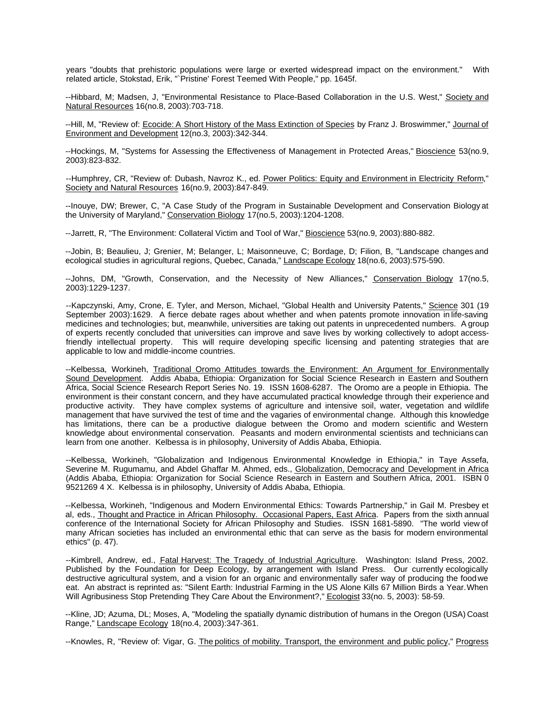years "doubts that prehistoric populations were large or exerted widespread impact on the environment." With related article, Stokstad, Erik, "`Pristine' Forest Teemed With People," pp. 1645f.

--Hibbard, M; Madsen, J, "Environmental Resistance to Place-Based Collaboration in the U.S. West," Society and Natural Resources 16(no.8, 2003):703-718.

--Hill, M, "Review of: Ecocide: A Short History of the Mass Extinction of Species by Franz J. Broswimmer," Journal of Environment and Development 12(no.3, 2003):342-344.

--Hockings, M, "Systems for Assessing the Effectiveness of Management in Protected Areas," Bioscience 53(no.9, 2003):823-832.

--Humphrey, CR, "Review of: Dubash, Navroz K., ed. Power Politics: Equity and Environment in Electricity Reform," Society and Natural Resources 16(no.9, 2003):847-849.

--Inouye, DW; Brewer, C, "A Case Study of the Program in Sustainable Development and Conservation Biology at the University of Maryland," Conservation Biology 17(no.5, 2003):1204-1208.

--Jarrett, R, "The Environment: Collateral Victim and Tool of War," Bioscience 53(no.9, 2003):880-882.

--Jobin, B; Beaulieu, J; Grenier, M; Belanger, L; Maisonneuve, C; Bordage, D; Filion, B, "Landscape changes and ecological studies in agricultural regions, Quebec, Canada," Landscape Ecology 18(no.6, 2003):575-590.

--Johns, DM, "Growth, Conservation, and the Necessity of New Alliances," Conservation Biology 17(no.5, 2003):1229-1237.

--Kapczynski, Amy, Crone, E. Tyler, and Merson, Michael, "Global Health and University Patents," Science 301 (19 September 2003):1629. A fierce debate rages about whether and when patents promote innovation in life-saving medicines and technologies; but, meanwhile, universities are taking out patents in unprecedented numbers. A group of experts recently concluded that universities can improve and save lives by working collectively to adopt accessfriendly intellectual property. This will require developing specific licensing and patenting strategies that are applicable to low and middle-income countries.

--Kelbessa, Workineh, Traditional Oromo Attitudes towards the Environment: An Argument for Environmentally Sound Development. Addis Ababa, Ethiopia: Organization for Social Science Research in Eastern and Southern Africa, Social Science Research Report Series No. 19. ISSN 1608-6287. The Oromo are a people in Ethiopia. The environment is their constant concern, and they have accumulated practical knowledge through their experience and productive activity. They have complex systems of agriculture and intensive soil, water, vegetation and wildlife management that have survived the test of time and the vagaries of environmental change. Although this knowledge has limitations, there can be a productive dialogue between the Oromo and modern scientific and Western knowledge about environmental conservation. Peasants and modern environmental scientists and technicians can learn from one another. Kelbessa is in philosophy, University of Addis Ababa, Ethiopia.

--Kelbessa, Workineh, "Globalization and Indigenous Environmental Knowledge in Ethiopia," in Taye Assefa, Severine M. Rugumamu, and Abdel Ghaffar M. Ahmed, eds., Globalization, Democracy and Development in Africa (Addis Ababa, Ethiopia: Organization for Social Science Research in Eastern and Southern Africa, 2001. ISBN 0 9521269 4 X. Kelbessa is in philosophy, University of Addis Ababa, Ethiopia.

--Kelbessa, Workineh, "Indigenous and Modern Environmental Ethics: Towards Partnership," in Gail M. Presbey et al, eds., Thought and Practice in African Philosophy. Occasional Papers, East Africa. Papers from the sixth annual conference of the International Society for African Philosophy and Studies. ISSN 1681-5890. "The world view of many African societies has included an environmental ethic that can serve as the basis for modern environmental ethics" (p. 47).

--Kimbrell, Andrew, ed., Fatal Harvest: The Tragedy of Industrial Agriculture. Washington: Island Press, 2002. Published by the Foundation for Deep Ecology, by arrangement with Island Press. Our currently ecologically destructive agricultural system, and a vision for an organic and environmentally safer way of producing the food we eat. An abstract is reprinted as: "Silent Earth: Industrial Farming in the US Alone Kills 67 Million Birds a Year. When Will Agribusiness Stop Pretending They Care About the Environment?," Ecologist 33(no. 5, 2003): 58-59.

--Kline, JD; Azuma, DL; Moses, A, "Modeling the spatially dynamic distribution of humans in the Oregon (USA) Coast Range," Landscape Ecology 18(no.4, 2003):347-361.

--Knowles, R, "Review of: Vigar, G. The politics of mobility. Transport, the environment and public policy," Progress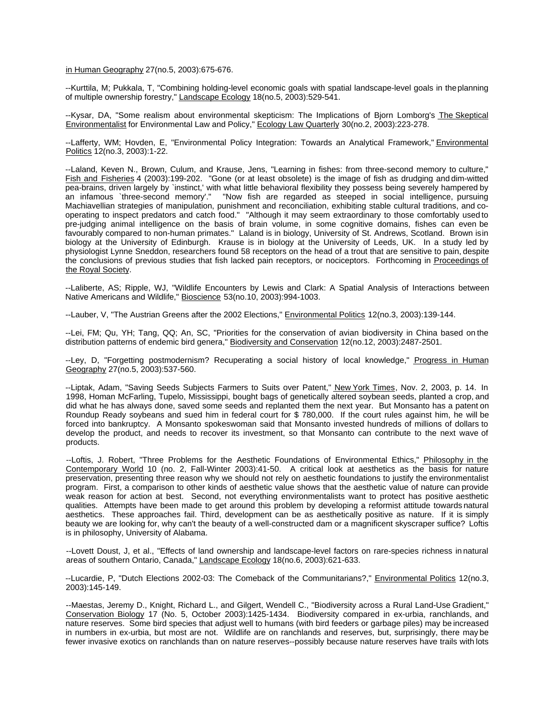in Human Geography 27(no.5, 2003):675-676.

--Kurttila, M; Pukkala, T, "Combining holding-level economic goals with spatial landscape-level goals in the planning of multiple ownership forestry," Landscape Ecology 18(no.5, 2003):529-541.

--Kysar, DA, "Some realism about environmental skepticism: The Implications of Bjorn Lomborg's The Skeptical Environmentalist for Environmental Law and Policy," Ecology Law Quarterly 30(no.2, 2003):223-278.

--Lafferty, WM; Hovden, E, "Environmental Policy Integration: Towards an Analytical Framework," Environmental Politics 12(no.3, 2003):1-22.

--Laland, Keven N., Brown, Culum, and Krause, Jens, "Learning in fishes: from three-second memory to culture," Fish and Fisheries 4 (2003):199-202. "Gone (or at least obsolete) is the image of fish as drudging and dim-witted pea-brains, driven largely by `instinct,' with what little behavioral flexibility they possess being severely hampered by an infamous `three-second memory'." "Now fish are regarded as steeped in social intelligence, pursuing Machiavellian strategies of manipulation, punishment and reconciliation, exhibiting stable cultural traditions, and cooperating to inspect predators and catch food." "Although it may seem extraordinary to those comfortably used to pre-judging animal intelligence on the basis of brain volume, in some cognitive domains, fishes can even be favourably compared to non-human primates." Laland is in biology, University of St. Andrews, Scotland. Brown is in biology at the University of Edinburgh. Krause is in biology at the University of Leeds, UK. In a study led by physiologist Lynne Sneddon, researchers found 58 receptors on the head of a trout that are sensitive to pain, despite the conclusions of previous studies that fish lacked pain receptors, or nociceptors. Forthcoming in Proceedings of the Royal Society.

--Laliberte, AS; Ripple, WJ, "Wildlife Encounters by Lewis and Clark: A Spatial Analysis of Interactions between Native Americans and Wildlife," Bioscience 53(no.10, 2003):994-1003.

--Lauber, V, "The Austrian Greens after the 2002 Elections," Environmental Politics 12(no.3, 2003):139-144.

--Lei, FM; Qu, YH; Tang, QQ; An, SC, "Priorities for the conservation of avian biodiversity in China based on the distribution patterns of endemic bird genera," Biodiversity and Conservation 12(no.12, 2003):2487-2501.

--Ley, D, "Forgetting postmodernism? Recuperating a social history of local knowledge," Progress in Human Geography 27(no.5, 2003):537-560.

--Liptak, Adam, "Saving Seeds Subjects Farmers to Suits over Patent," New York Times, Nov. 2, 2003, p. 14. In 1998, Homan McFarling, Tupelo, Mississippi, bought bags of genetically altered soybean seeds, planted a crop, and did what he has always done, saved some seeds and replanted them the next year. But Monsanto has a patent on Roundup Ready soybeans and sued him in federal court for \$ 780,000. If the court rules against him, he will be forced into bankruptcy. A Monsanto spokeswoman said that Monsanto invested hundreds of millions of dollars to develop the product, and needs to recover its investment, so that Monsanto can contribute to the next wave of products.

--Loftis, J. Robert, "Three Problems for the Aesthetic Foundations of Environmental Ethics," Philosophy in the Contemporary World 10 (no. 2, Fall-Winter 2003):41-50. A critical look at aesthetics as the basis for nature preservation, presenting three reason why we should not rely on aesthetic foundations to justify the environmentalist program. First, a comparison to other kinds of aesthetic value shows that the aesthetic value of nature can provide weak reason for action at best. Second, not everything environmentalists want to protect has positive aesthetic qualities. Attempts have been made to get around this problem by developing a reformist attitude towards natural aesthetics. These approaches fail. Third, development can be as aesthetically positive as nature. If it is simply beauty we are looking for, why can't the beauty of a well-constructed dam or a magnificent skyscraper suffice? Loftis is in philosophy, University of Alabama.

--Lovett Doust, J, et al., "Effects of land ownership and landscape-level factors on rare-species richness in natural areas of southern Ontario, Canada," Landscape Ecology 18(no.6, 2003):621-633.

--Lucardie, P, "Dutch Elections 2002-03: The Comeback of the Communitarians?," Environmental Politics 12(no.3, 2003):145-149.

--Maestas, Jeremy D., Knight, Richard L., and Gilgert, Wendell C., "Biodiversity across a Rural Land-Use Gradient," Conservation Biology 17 (No. 5, October 2003):1425-1434. Biodiversity compared in ex-urbia, ranchlands, and nature reserves. Some bird species that adjust well to humans (with bird feeders or garbage piles) may be increased in numbers in ex-urbia, but most are not. Wildlife are on ranchlands and reserves, but, surprisingly, there may be fewer invasive exotics on ranchlands than on nature reserves--possibly because nature reserves have trails with lots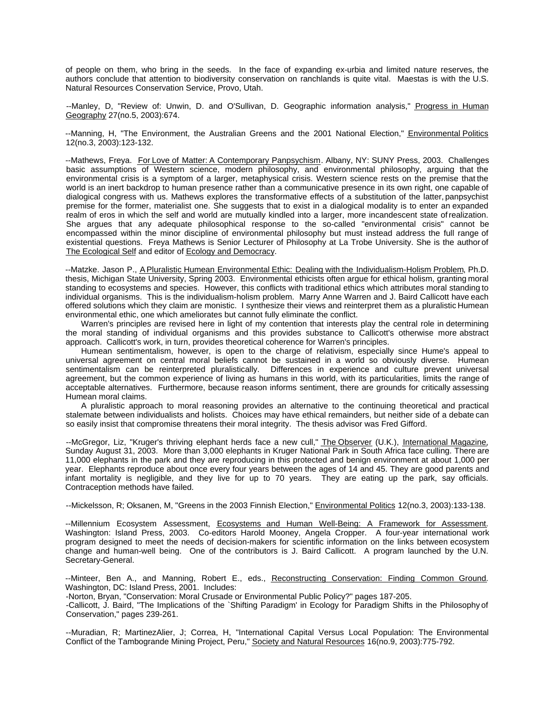of people on them, who bring in the seeds. In the face of expanding ex-urbia and limited nature reserves, the authors conclude that attention to biodiversity conservation on ranchlands is quite vital. Maestas is with the U.S. Natural Resources Conservation Service, Provo, Utah.

--Manley, D, "Review of: Unwin, D. and O'Sullivan, D. Geographic information analysis," Progress in Human Geography 27(no.5, 2003):674.

--Manning, H, "The Environment, the Australian Greens and the 2001 National Election," Environmental Politics 12(no.3, 2003):123-132.

--Mathews, Freya. For Love of Matter: A Contemporary Panpsychism. Albany, NY: SUNY Press, 2003. Challenges basic assumptions of Western science, modern philosophy, and environmental philosophy, arguing that the environmental crisis is a symptom of a larger, metaphysical crisis. Western science rests on the premise that the world is an inert backdrop to human presence rather than a communicative presence in its own right, one capable of dialogical congress with us. Mathews explores the transformative effects of a substitution of the latter, panpsychist premise for the former, materialist one. She suggests that to exist in a dialogical modality is to enter an expanded realm of eros in which the self and world are mutually kindled into a larger, more incandescent state of realization. She argues that any adequate philosophical response to the so-called "environmental crisis" cannot be encompassed within the minor discipline of environmental philosophy but must instead address the full range of existential questions. Freya Mathews is Senior Lecturer of Philosophy at La Trobe University. She is the author of The Ecological Self and editor of Ecology and Democracy.

--Matzke. Jason P., A Pluralistic Humean Environmental Ethic: Dealing with the Individualism-Holism Problem, Ph.D. thesis, Michigan State University, Spring 2003. Environmental ethicists often argue for ethical holism, granting moral standing to ecosystems and species. However, this conflicts with traditional ethics which attributes moral standing to individual organisms. This is the individualism-holism problem. Marry Anne Warren and J. Baird Callicott have each offered solutions which they claim are monistic. I synthesize their views and reinterpret them as a pluralistic Humean environmental ethic, one which ameliorates but cannot fully eliminate the conflict.

Warren's principles are revised here in light of my contention that interests play the central role in determining the moral standing of individual organisms and this provides substance to Callicott's otherwise more abstract approach. Callicott's work, in turn, provides theoretical coherence for Warren's principles.

Humean sentimentalism, however, is open to the charge of relativism, especially since Hume's appeal to universal agreement on central moral beliefs cannot be sustained in a world so obviously diverse. Humean sentimentalism can be reinterpreted pluralistically. Differences in experience and culture prevent universal agreement, but the common experience of living as humans in this world, with its particularities, limits the range of acceptable alternatives. Furthermore, because reason informs sentiment, there are grounds for critically assessing Humean moral claims.

A pluralistic approach to moral reasoning provides an alternative to the continuing theoretical and practical stalemate between individualists and holists. Choices may have ethical remainders, but neither side of a debate can so easily insist that compromise threatens their moral integrity. The thesis advisor was Fred Gifford.

--McGregor, Liz, "Kruger's thriving elephant herds face a new cull," The Observer (U.K.), International Magazine, Sunday August 31, 2003. More than 3,000 elephants in Kruger National Park in South Africa face culling. There are 11,000 elephants in the park and they are reproducing in this protected and benign environment at about 1,000 per year. Elephants reproduce about once every four years between the ages of 14 and 45. They are good parents and infant mortality is negligible, and they live for up to 70 years. They are eating up the park, say officials. Contraception methods have failed.

--Mickelsson, R; Oksanen, M, "Greens in the 2003 Finnish Election," Environmental Politics 12(no.3, 2003):133-138.

--Millennium Ecosystem Assessment, Ecosystems and Human Well-Being: A Framework for Assessment. Washington: Island Press, 2003. Co-editors Harold Mooney, Angela Cropper. A four-year international work program designed to meet the needs of decision-makers for scientific information on the links between ecosystem change and human-well being. One of the contributors is J. Baird Callicott. A program launched by the U.N. Secretary-General.

--Minteer, Ben A., and Manning, Robert E., eds., Reconstructing Conservation: Finding Common Ground. Washington, DC: Island Press, 2001. Includes:

-Norton, Bryan, "Conservation: Moral Crusade or Environmental Public Policy?" pages 187-205.

-Callicott, J. Baird, "The Implications of the `Shifting Paradigm' in Ecology for Paradigm Shifts in the Philosophy of Conservation," pages 239-261.

--Muradian, R; MartinezAlier, J; Correa, H, "International Capital Versus Local Population: The Environmental Conflict of the Tambogrande Mining Project, Peru," Society and Natural Resources 16(no.9, 2003):775-792.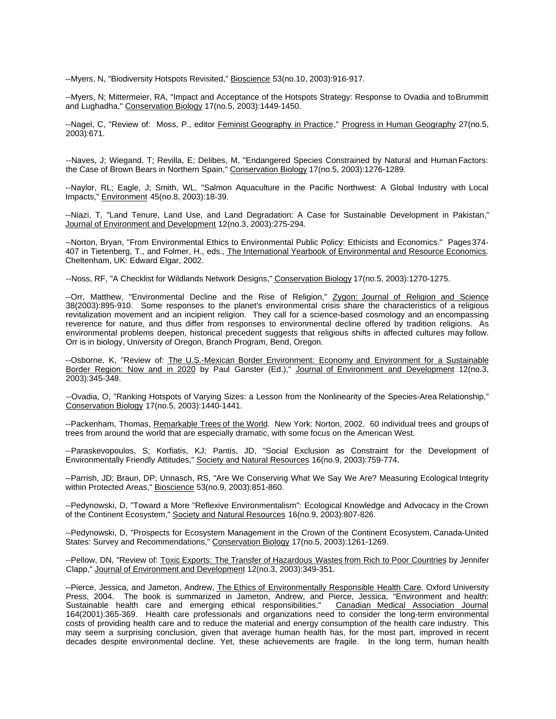--Myers, N, "Biodiversity Hotspots Revisited," Bioscience 53(no.10, 2003):916-917.

--Myers, N; Mittermeier, RA, "Impact and Acceptance of the Hotspots Strategy: Response to Ovadia and to Brummitt and Lughadha," Conservation Biology 17(no.5, 2003):1449-1450.

--Nagel, C, "Review of: Moss, P., editor Feminist Geography in Practice," Progress in Human Geography 27(no.5, 2003):671.

--Naves, J; Wiegand, T; Revilla, E; Delibes, M, "Endangered Species Constrained by Natural and Human Factors: the Case of Brown Bears in Northern Spain," Conservation Biology 17(no.5, 2003):1276-1289.

--Naylor, RL; Eagle, J; Smith, WL, "Salmon Aquaculture in the Pacific Northwest: A Global Industry with Local Impacts," Environment 45(no.8, 2003):18-39.

--Niazi, T, "Land Tenure, Land Use, and Land Degradation: A Case for Sustainable Development in Pakistan," Journal of Environment and Development 12(no.3, 2003):275-294.

--Norton, Bryan, "From Environmental Ethics to Environmental Public Policy: Ethicists and Economics." Pages 374- 407 in Tietenberg, T., and Folmer, H., eds., The International Yearbook of Environmental and Resource Economics. Cheltenham, UK: Edward Elgar, 2002.

--Noss, RF, "A Checklist for Wildlands Network Designs," Conservation Biology 17(no.5, 2003):1270-1275.

--Orr, Matthew, "Environmental Decline and the Rise of Religion," Zygon: Journal of Religion and Science 38(2003):895-910. Some responses to the planet's environmental crisis share the characteristics of a religious revitalization movement and an incipient religion. They call for a science-based cosmology and an encompassing reverence for nature, and thus differ from responses to environmental decline offered by tradition religions. As environmental problems deepen, historical precedent suggests that religious shifts in affected cultures may follow. Orr is in biology, University of Oregon, Branch Program, Bend, Oregon.

--Osborne, K, "Review of: The U.S.-Mexican Border Environment: Economy and Environment for a Sustainable Border Region: Now and in 2020 by Paul Ganster (Ed.)," Journal of Environment and Development 12(no.3, 2003):345-348.

--Ovadia, O, "Ranking Hotspots of Varying Sizes: a Lesson from the Nonlinearity of the Species-Area Relationship," Conservation Biology 17(no.5, 2003):1440-1441.

--Packenham, Thomas, Remarkable Trees of the World. New York: Norton, 2002. 60 individual trees and groups of trees from around the world that are especially dramatic, with some focus on the American West.

--Paraskevopoulos, S; Korfiatis, KJ; Pantis, JD, "Social Exclusion as Constraint for the Development of Environmentally Friendly Attitudes," Society and Natural Resources 16(no.9, 2003):759-774.

--Parrish, JD; Braun, DP; Unnasch, RS, "Are We Conserving What We Say We Are? Measuring Ecological Integrity within Protected Areas," Bioscience 53(no.9, 2003):851-860.

--Pedynowski, D, "Toward a More "Reflexive Environmentalism": Ecological Knowledge and Advocacy in the Crown of the Continent Ecosystem," Society and Natural Resources 16(no.9, 2003):807-826.

--Pedynowski, D, "Prospects for Ecosystem Management in the Crown of the Continent Ecosystem, Canada-United States: Survey and Recommendations," Conservation Biology 17(no.5, 2003):1261-1269.

--Pellow, DN, "Review of: Toxic Exports: The Transfer of Hazardous Wastes from Rich to Poor Countries by Jennifer Clapp," Journal of Environment and Development 12(no.3, 2003):349-351.

--Pierce, Jessica, and Jameton, Andrew, The Ethics of Environmentally Responsible Health Care. Oxford University Press, 2004. The book is summarized in Jameton, Andrew, and Pierce, Jessica, "Environment and health: Sustainable health care and emerging ethical responsibilities," 164(2001):365-369. Health care professionals and organizations need to consider the long-term environmental costs of providing health care and to reduce the material and energy consumption of the health care industry. This may seem a surprising conclusion, given that average human health has, for the most part, improved in recent decades despite environmental decline. Yet, these achievements are fragile. In the long term, human health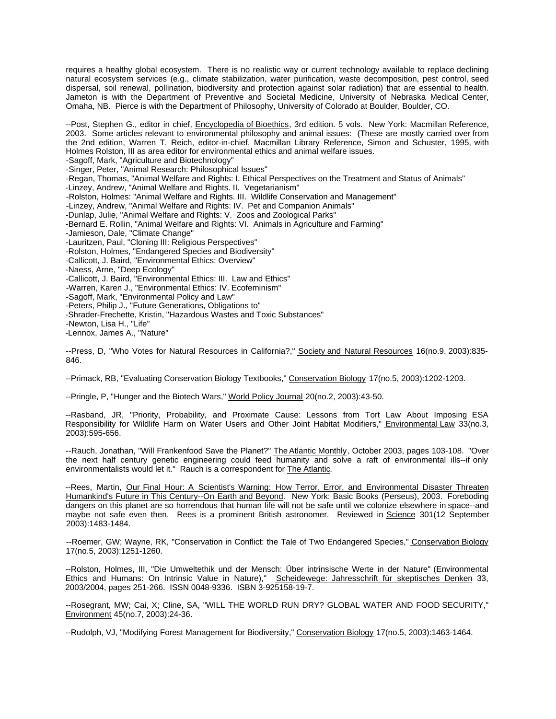requires a healthy global ecosystem. There is no realistic way or current technology available to replace declining natural ecosystem services (e.g., climate stabilization, water purification, waste decomposition, pest control, seed dispersal, soil renewal, pollination, biodiversity and protection against solar radiation) that are essential to health. Jameton is with the Department of Preventive and Societal Medicine, University of Nebraska Medical Center, Omaha, NB. Pierce is with the Department of Philosophy, University of Colorado at Boulder, Boulder, CO.

--Post, Stephen G., editor in chief, Encyclopedia of Bioethics, 3rd edition. 5 vols. New York: Macmillan Reference, 2003. Some articles relevant to environmental philosophy and animal issues: (These are mostly carried over from the 2nd edition, Warren T. Reich, editor-in-chief, Macmillan Library Reference, Simon and Schuster, 1995, with Holmes Rolston, III as area editor for environmental ethics and animal welfare issues. -Sagoff, Mark, "Agriculture and Biotechnology" -Singer, Peter, "Animal Research: Philosophical Issues" -Regan, Thomas, "Animal Welfare and Rights: I. Ethical Perspectives on the Treatment and Status of Animals" -Linzey, Andrew, "Animal Welfare and Rights. II. Vegetarianism" -Rolston, Holmes: "Animal Welfare and Rights. III. Wildlife Conservation and Management" -Linzey, Andrew, "Animal Welfare and Rights: IV. Pet and Companion Animals" -Dunlap, Julie, "Animal Welfare and Rights: V. Zoos and Zoological Parks" -Bernard E. Rollin, "Animal Welfare and Rights: VI. Animals in Agriculture and Farming" -Jamieson, Dale, "Climate Change" -Lauritzen, Paul, "Cloning III: Religious Perspectives" -Rolston, Holmes, "Endangered Species and Biodiversity" -Callicott, J. Baird, "Environmental Ethics: Overview" -Naess, Arne, "Deep Ecology" -Callicott, J. Baird, "Environmental Ethics: III. Law and Ethics" -Warren, Karen J., "Environmental Ethics: IV. Ecofeminism" -Sagoff, Mark, "Environmental Policy and Law" -Peters, Philip J., "Future Generations, Obligations to" -Shrader-Frechette, Kristin, "Hazardous Wastes and Toxic Substances" -Newton, Lisa H., "Life"

-Lennox, James A., "Nature"

--Press, D, "Who Votes for Natural Resources in California?," Society and Natural Resources 16(no.9, 2003):835- 846.

--Primack, RB, "Evaluating Conservation Biology Textbooks," Conservation Biology 17(no.5, 2003):1202-1203.

--Pringle, P, "Hunger and the Biotech Wars," World Policy Journal 20(no.2, 2003):43-50.

--Rasband, JR, "Priority, Probability, and Proximate Cause: Lessons from Tort Law About Imposing ESA Responsibility for Wildlife Harm on Water Users and Other Joint Habitat Modifiers," Environmental Law 33(no.3, 2003):595-656.

--Rauch, Jonathan, "Will Frankenfood Save the Planet?" The Atlantic Monthly, October 2003, pages 103-108. "Over the next half century genetic engineering could feed humanity and solve a raft of environmental ills--if only environmentalists would let it." Rauch is a correspondent for The Atlantic.

--Rees, Martin, Our Final Hour: A Scientist's Warning: How Terror, Error, and Environmental Disaster Threaten Humankind's Future in This Century--On Earth and Beyond. New York: Basic Books (Perseus), 2003. Foreboding dangers on this planet are so horrendous that human life will not be safe until we colonize elsewhere in space--and maybe not safe even then. Rees is a prominent British astronomer. Reviewed in Science 301(12 September 2003):1483-1484.

--Roemer, GW; Wayne, RK, "Conservation in Conflict: the Tale of Two Endangered Species," Conservation Biology 17(no.5, 2003):1251-1260.

--Rolston, Holmes, III, "Die Umweltethik und der Mensch: Über intrinsische Werte in der Nature" (Environmental Ethics and Humans: On Intrinsic Value in Nature)," Scheidewege: Jahresschrift für skeptisches Denken 33, 2003/2004, pages 251-266. ISSN 0048-9336. ISBN 3-925158-19-7.

--Rosegrant, MW; Cai, X; Cline, SA, "WILL THE WORLD RUN DRY? GLOBAL WATER AND FOOD SECURITY," Environment 45(no.7, 2003):24-36.

--Rudolph, VJ, "Modifying Forest Management for Biodiversity," Conservation Biology 17(no.5, 2003):1463-1464.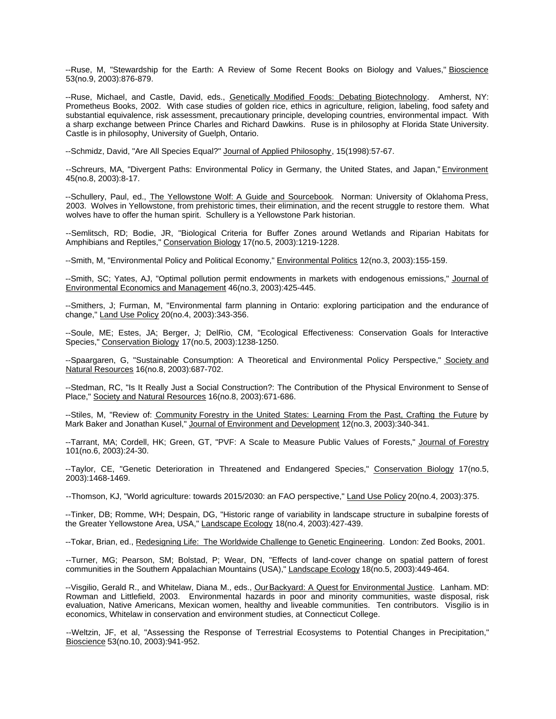--Ruse, M, "Stewardship for the Earth: A Review of Some Recent Books on Biology and Values," Bioscience 53(no.9, 2003):876-879.

--Ruse, Michael, and Castle, David, eds., Genetically Modified Foods: Debating Biotechnology. Amherst, NY: Prometheus Books, 2002. With case studies of golden rice, ethics in agriculture, religion, labeling, food safety and substantial equivalence, risk assessment, precautionary principle, developing countries, environmental impact. With a sharp exchange between Prince Charles and Richard Dawkins. Ruse is in philosophy at Florida State University. Castle is in philosophy, University of Guelph, Ontario.

--Schmidz, David, "Are All Species Equal?" Journal of Applied Philosophy, 15(1998):57-67.

--Schreurs, MA, "Divergent Paths: Environmental Policy in Germany, the United States, and Japan," Environment 45(no.8, 2003):8-17.

--Schullery, Paul, ed., The Yellowstone Wolf: A Guide and Sourcebook. Norman: University of Oklahoma Press, 2003. Wolves in Yellowstone, from prehistoric times, their elimination, and the recent struggle to restore them. What wolves have to offer the human spirit. Schullery is a Yellowstone Park historian.

--Semlitsch, RD; Bodie, JR, "Biological Criteria for Buffer Zones around Wetlands and Riparian Habitats for Amphibians and Reptiles," Conservation Biology 17(no.5, 2003):1219-1228.

--Smith, M, "Environmental Policy and Political Economy," Environmental Politics 12(no.3, 2003):155-159.

--Smith, SC; Yates, AJ, "Optimal pollution permit endowments in markets with endogenous emissions," Journal of Environmental Economics and Management 46(no.3, 2003):425-445.

--Smithers, J; Furman, M, "Environmental farm planning in Ontario: exploring participation and the endurance of change," Land Use Policy 20(no.4, 2003):343-356.

--Soule, ME; Estes, JA; Berger, J; DelRio, CM, "Ecological Effectiveness: Conservation Goals for Interactive Species," Conservation Biology 17(no.5, 2003):1238-1250.

--Spaargaren, G, "Sustainable Consumption: A Theoretical and Environmental Policy Perspective," Society and Natural Resources 16(no.8, 2003):687-702.

--Stedman, RC, "Is It Really Just a Social Construction?: The Contribution of the Physical Environment to Sense of Place," Society and Natural Resources 16(no.8, 2003):671-686.

--Stiles, M, "Review of: Community Forestry in the United States: Learning From the Past, Crafting the Future by Mark Baker and Jonathan Kusel," Journal of Environment and Development 12(no.3, 2003):340-341.

--Tarrant, MA; Cordell, HK; Green, GT, "PVF: A Scale to Measure Public Values of Forests," Journal of Forestry 101(no.6, 2003):24-30.

--Taylor, CE, "Genetic Deterioration in Threatened and Endangered Species," Conservation Biology 17(no.5, 2003):1468-1469.

--Thomson, KJ, "World agriculture: towards 2015/2030: an FAO perspective," Land Use Policy 20(no.4, 2003):375.

--Tinker, DB; Romme, WH; Despain, DG, "Historic range of variability in landscape structure in subalpine forests of the Greater Yellowstone Area, USA," Landscape Ecology 18(no.4, 2003):427-439.

--Tokar, Brian, ed., Redesigning Life: The Worldwide Challenge to Genetic Engineering. London: Zed Books, 2001.

--Turner, MG; Pearson, SM; Bolstad, P; Wear, DN, "Effects of land-cover change on spatial pattern of forest communities in the Southern Appalachian Mountains (USA)," Landscape Ecology 18(no.5, 2003):449-464.

--Visgilio, Gerald R., and Whitelaw, Diana M., eds., Our Backyard: A Quest for Environmental Justice. Lanham. MD: Rowman and Littlefield, 2003. Environmental hazards in poor and minority communities, waste disposal, risk evaluation, Native Americans, Mexican women, healthy and liveable communities. Ten contributors. Visgilio is in economics, Whitelaw in conservation and environment studies, at Connecticut College.

--Weltzin, JF, et al, "Assessing the Response of Terrestrial Ecosystems to Potential Changes in Precipitation," Bioscience 53(no.10, 2003):941-952.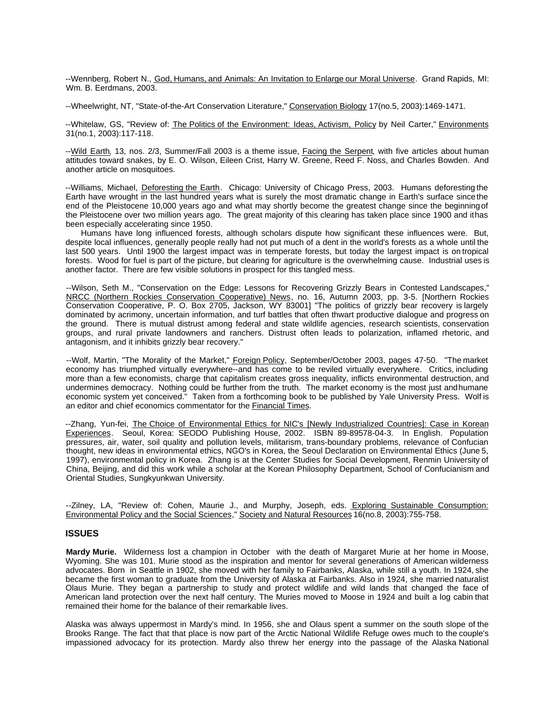--Wennberg, Robert N., God, Humans, and Animals: An Invitation to Enlarge our Moral Universe. Grand Rapids, MI: Wm. B. Eerdmans, 2003.

--Wheelwright, NT, "State-of-the-Art Conservation Literature," Conservation Biology 17(no.5, 2003):1469-1471.

--Whitelaw, GS, "Review of: The Politics of the Environment: Ideas, Activism, Policy by Neil Carter," Environments 31(no.1, 2003):117-118.

--Wild Earth, 13, nos. 2/3, Summer/Fall 2003 is a theme issue, Facing the Serpent, with five articles about human attitudes toward snakes, by E. O. Wilson, Eileen Crist, Harry W. Greene, Reed F. Noss, and Charles Bowden. And another article on mosquitoes.

--Williams, Michael, Deforesting the Earth. Chicago: University of Chicago Press, 2003. Humans deforesting the Earth have wrought in the last hundred years what is surely the most dramatic change in Earth's surface since the end of the Pleistocene 10,000 years ago and what may shortly become the greatest change since the beginning of the Pleistocene over two million years ago. The great majority of this clearing has taken place since 1900 and it has been especially accelerating since 1950.

Humans have long influenced forests, although scholars dispute how significant these influences were. But, despite local influences, generally people really had not put much of a dent in the world's forests as a whole until the last 500 years. Until 1900 the largest impact was in temperate forests, but today the largest impact is on tropical forests. Wood for fuel is part of the picture, but clearing for agriculture is the overwhelming cause. Industrial uses is another factor. There are few visible solutions in prospect for this tangled mess.

--Wilson, Seth M., "Conservation on the Edge: Lessons for Recovering Grizzly Bears in Contested Landscapes," NRCC (Northern Rockies Conservation Cooperative) News, no. 16, Autumn 2003, pp. 3-5. [Northern Rockies Conservation Cooperative, P. O. Box 2705, Jackson, WY 83001] "The politics of grizzly bear recovery is largely dominated by acrimony, uncertain information, and turf battles that often thwart productive dialogue and progress on the ground. There is mutual distrust among federal and state wildlife agencies, research scientists, conservation groups, and rural private landowners and ranchers. Distrust often leads to polarization, inflamed rhetoric, and antagonism, and it inhibits grizzly bear recovery."

--Wolf, Martin, "The Morality of the Market," Foreign Policy, September/October 2003, pages 47-50. "The market economy has triumphed virtually everywhere--and has come to be reviled virtually everywhere. Critics, including more than a few economists, charge that capitalism creates gross inequality, inflicts environmental destruction, and undermines democracy. Nothing could be further from the truth. The market economy is the most just and humane economic system yet conceived." Taken from a forthcoming book to be published by Yale University Press. Wolf is an editor and chief economics commentator for the Financial Times.

--Zhang, Yun-fei, The Choice of Environmental Ethics for NIC's [Newly Industrialized Countries]: Case in Korean Experiences. Seoul, Korea: SEODO Publishing House, 2002. ISBN 89-89578-04-3. In English. Population pressures, air, water, soil quality and pollution levels, militarism, trans-boundary problems, relevance of Confucian thought, new ideas in environmental ethics, NGO's in Korea, the Seoul Declaration on Environmental Ethics (June 5, 1997), environmental policy in Korea. Zhang is at the Center Studies for Social Development, Renmin University of China, Beijing, and did this work while a scholar at the Korean Philosophy Department, School of Confucianism and Oriental Studies, Sungkyunkwan University.

--Zilney, LA, "Review of: Cohen, Maurie J., and Murphy, Joseph, eds. Exploring Sustainable Consumption: Environmental Policy and the Social Sciences," Society and Natural Resources 16(no.8, 2003):755-758.

# **ISSUES**

**Mardy Murie.** Wilderness lost a champion in October with the death of Margaret Murie at her home in Moose, Wyoming. She was 101. Murie stood as the inspiration and mentor for several generations of American wilderness advocates. Born in Seattle in 1902, she moved with her family to Fairbanks, Alaska, while still a youth. In 1924, she became the first woman to graduate from the University of Alaska at Fairbanks. Also in 1924, she married naturalist Olaus Murie. They began a partnership to study and protect wildlife and wild lands that changed the face of American land protection over the next half century. The Muries moved to Moose in 1924 and built a log cabin that remained their home for the balance of their remarkable lives.

Alaska was always uppermost in Mardy's mind. In 1956, she and Olaus spent a summer on the south slope of the Brooks Range. The fact that that place is now part of the Arctic National Wildlife Refuge owes much to the couple's impassioned advocacy for its protection. Mardy also threw her energy into the passage of the Alaska National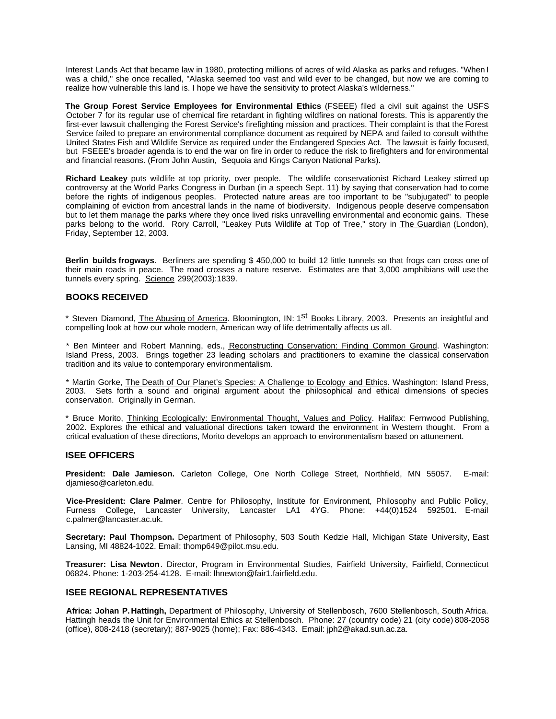Interest Lands Act that became law in 1980, protecting millions of acres of wild Alaska as parks and refuges. "When I was a child," she once recalled, "Alaska seemed too vast and wild ever to be changed, but now we are coming to realize how vulnerable this land is. I hope we have the sensitivity to protect Alaska's wilderness."

**The Group Forest Service Employees for Environmental Ethics** (FSEEE) filed a civil suit against the USFS October 7 for its regular use of chemical fire retardant in fighting wildfires on national forests. This is apparently the first-ever lawsuit challenging the Forest Service's firefighting mission and practices. Their complaint is that the Forest Service failed to prepare an environmental compliance document as required by NEPA and failed to consult with the United States Fish and Wildlife Service as required under the Endangered Species Act. The lawsuit is fairly focused, but FSEEE's broader agenda is to end the war on fire in order to reduce the risk to firefighters and for environmental and financial reasons. (From John Austin, Sequoia and Kings Canyon National Parks).

**Richard Leakey** puts wildlife at top priority, over people. The wildlife conservationist Richard Leakey stirred up controversy at the World Parks Congress in Durban (in a speech Sept. 11) by saying that conservation had to come before the rights of indigenous peoples. Protected nature areas are too important to be "subjugated" to people complaining of eviction from ancestral lands in the name of biodiversity. Indigenous people deserve compensation but to let them manage the parks where they once lived risks unravelling environmental and economic gains. These parks belong to the world. Rory Carroll, "Leakey Puts Wildlife at Top of Tree," story in The Guardian (London), Friday, September 12, 2003.

**Berlin builds frogways**. Berliners are spending \$ 450,000 to build 12 little tunnels so that frogs can cross one of their main roads in peace. The road crosses a nature reserve. Estimates are that 3,000 amphibians will use the tunnels every spring. Science 299(2003):1839.

# **BOOKS RECEIVED**

\* Steven Diamond, The Abusing of America. Bloomington, IN: 1<sup>St</sup> Books Library, 2003. Presents an insightful and compelling look at how our whole modern, American way of life detrimentally affects us all.

\* Ben Minteer and Robert Manning, eds., Reconstructing Conservation: Finding Common Ground. Washington: Island Press, 2003. Brings together 23 leading scholars and practitioners to examine the classical conservation tradition and its value to contemporary environmentalism.

\* Martin Gorke, The Death of Our Planet's Species: A Challenge to Ecology and Ethics. Washington: Island Press, 2003. Sets forth a sound and original argument about the philosophical and ethical dimensions of species conservation. Originally in German.

\* Bruce Morito, Thinking Ecologically: Environmental Thought, Values and Policy. Halifax: Fernwood Publishing, 2002. Explores the ethical and valuational directions taken toward the environment in Western thought. From a critical evaluation of these directions, Morito develops an approach to environmentalism based on attunement.

# **ISEE OFFICERS**

**President: Dale Jamieson.** Carleton College, One North College Street, Northfield, MN 55057. E-mail: djamieso@carleton.edu.

**Vice-President: Clare Palmer**. Centre for Philosophy, Institute for Environment, Philosophy and Public Policy, Furness College, Lancaster University, Lancaster LA1 4YG. Phone: +44(0)1524 592501. E-mail c.palmer@lancaster.ac.uk.

**Secretary: Paul Thompson.** Department of Philosophy, 503 South Kedzie Hall, Michigan State University, East Lansing, MI 48824-1022. Email: thomp649@pilot.msu.edu.

**Treasurer: Lisa Newton**. Director, Program in Environmental Studies, Fairfield University, Fairfield, Connecticut 06824. Phone: 1-203-254-4128. E-mail: lhnewton@fair1.fairfield.edu.

# **ISEE REGIONAL REPRESENTATIVES**

**Africa: Johan P. Hattingh,** Department of Philosophy, University of Stellenbosch, 7600 Stellenbosch, South Africa. Hattingh heads the Unit for Environmental Ethics at Stellenbosch. Phone: 27 (country code) 21 (city code) 808-2058 (office), 808-2418 (secretary); 887-9025 (home); Fax: 886-4343. Email: jph2@akad.sun.ac.za.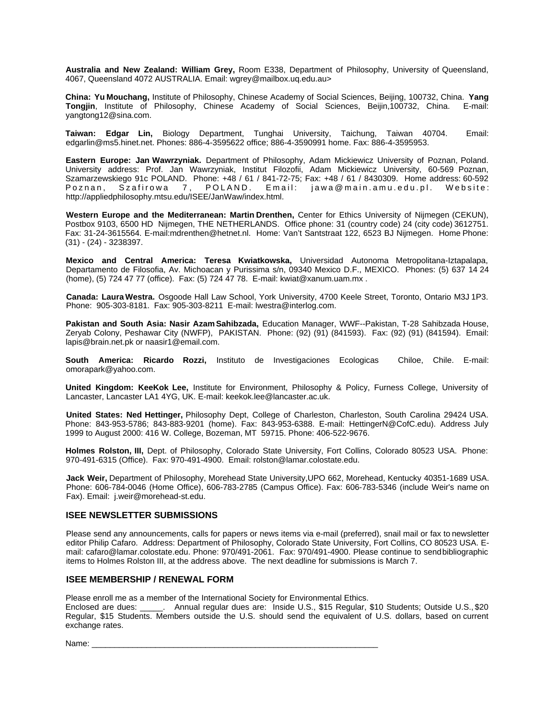**Australia and New Zealand: William Grey,** Room E338, Department of Philosophy, University of Queensland, 4067, Queensland 4072 AUSTRALIA. Email: wgrey@mailbox.uq.edu.au>

**China: Yu Mouchang,** Institute of Philosophy, Chinese Academy of Social Sciences, Beijing, 100732, China. **Yang Tongjin**, Institute of Philosophy, Chinese Academy of Social Sciences, Beijin,100732, China. E-mail: yangtong12@sina.com.

**Taiwan: Edgar Lin,** Biology Department, Tunghai University, Taichung, Taiwan 40704. Email: edgarlin@ms5.hinet.net. Phones: 886-4-3595622 office; 886-4-3590991 home. Fax: 886-4-3595953.

**Eastern Europe: Jan Wawrzyniak.** Department of Philosophy, Adam Mickiewicz University of Poznan, Poland. University address: Prof. Jan Wawrzyniak, Institut Filozofii, Adam Mickiewicz University, 60-569 Poznan, Szamarzewskiego 91c POLAND. Phone: +48 / 61 / 841-72-75; Fax: +48 / 61 / 8430309. Home address: 60-592 Poznan, Szafirowa 7, POLAND. Email: jawa@main.amu.edu.pl. Website: http://appliedphilosophy.mtsu.edu/ISEE/JanWaw/index.html.

**Western Europe and the Mediterranean: Martin Drenthen,** Center for Ethics University of Nijmegen (CEKUN), Postbox 9103, 6500 HD Nijmegen, THE NETHERLANDS. Office phone: 31 (country code) 24 (city code) 3612751. Fax: 31-24-3615564. E-mail:mdrenthen@hetnet.nl. Home: Van't Santstraat 122, 6523 BJ Nijmegen. Home Phone: (31) - (24) - 3238397.

**Mexico and Central America: Teresa Kwiatkowska,** Universidad Autonoma Metropolitana-Iztapalapa, Departamento de Filosofia, Av. Michoacan y Purissima s/n, 09340 Mexico D.F., MEXICO. Phones: (5) 637 14 24 (home), (5) 724 47 77 (office). Fax: (5) 724 47 78. E-mail: kwiat@xanum.uam.mx .

**Canada: Laura Westra.** Osgoode Hall Law School, York University, 4700 Keele Street, Toronto, Ontario M3J 1P3. Phone: 905-303-8181. Fax: 905-303-8211 E-mail: lwestra@interlog.com.

**Pakistan and South Asia: Nasir Azam Sahibzada,** Education Manager, WWF--Pakistan, T-28 Sahibzada House, Zeryab Colony, Peshawar City (NWFP), PAKISTAN. Phone: (92) (91) (841593). Fax: (92) (91) (841594). Email: lapis@brain.net.pk or naasir1@email.com.

**South America: Ricardo Rozzi,** Instituto de Investigaciones Ecologicas Chiloe, Chile. E-mail: omorapark@yahoo.com.

**United Kingdom: KeeKok Lee,** Institute for Environment, Philosophy & Policy, Furness College, University of Lancaster, Lancaster LA1 4YG, UK. E-mail: keekok.lee@lancaster.ac.uk.

**United States: Ned Hettinger,** Philosophy Dept, College of Charleston, Charleston, South Carolina 29424 USA. Phone: 843-953-5786; 843-883-9201 (home). Fax: 843-953-6388. E-mail: HettingerN@CofC.edu). Address July 1999 to August 2000: 416 W. College, Bozeman, MT 59715. Phone: 406-522-9676.

**Holmes Rolston, III,** Dept. of Philosophy, Colorado State University, Fort Collins, Colorado 80523 USA. Phone: 970-491-6315 (Office). Fax: 970-491-4900. Email: rolston@lamar.colostate.edu.

**Jack Weir,** Department of Philosophy, Morehead State University,UPO 662, Morehead, Kentucky 40351-1689 USA. Phone: 606-784-0046 (Home Office), 606-783-2785 (Campus Office). Fax: 606-783-5346 (include Weir's name on Fax). Email: j.weir@morehead-st.edu.

#### **ISEE NEWSLETTER SUBMISSIONS**

Please send any announcements, calls for papers or news items via e-mail (preferred), snail mail or fax to newsletter editor Philip Cafaro. Address: Department of Philosophy, Colorado State University, Fort Collins, CO 80523 USA. Email: cafaro@lamar.colostate.edu. Phone: 970/491-2061. Fax: 970/491-4900. Please continue to send bibliographic items to Holmes Rolston III, at the address above. The next deadline for submissions is March 7.

# **ISEE MEMBERSHIP / RENEWAL FORM**

Please enroll me as a member of the International Society for Environmental Ethics.

Enclosed are dues: \_\_\_\_\_. Annual regular dues are: Inside U.S., \$15 Regular, \$10 Students; Outside U.S., \$20 Regular, \$15 Students. Members outside the U.S. should send the equivalent of U.S. dollars, based on current exchange rates.

Name: \_\_\_\_\_\_\_\_\_\_\_\_\_\_\_\_\_\_\_\_\_\_\_\_\_\_\_\_\_\_\_\_\_\_\_\_\_\_\_\_\_\_\_\_\_\_\_\_\_\_\_\_\_\_\_\_\_\_\_\_\_\_\_